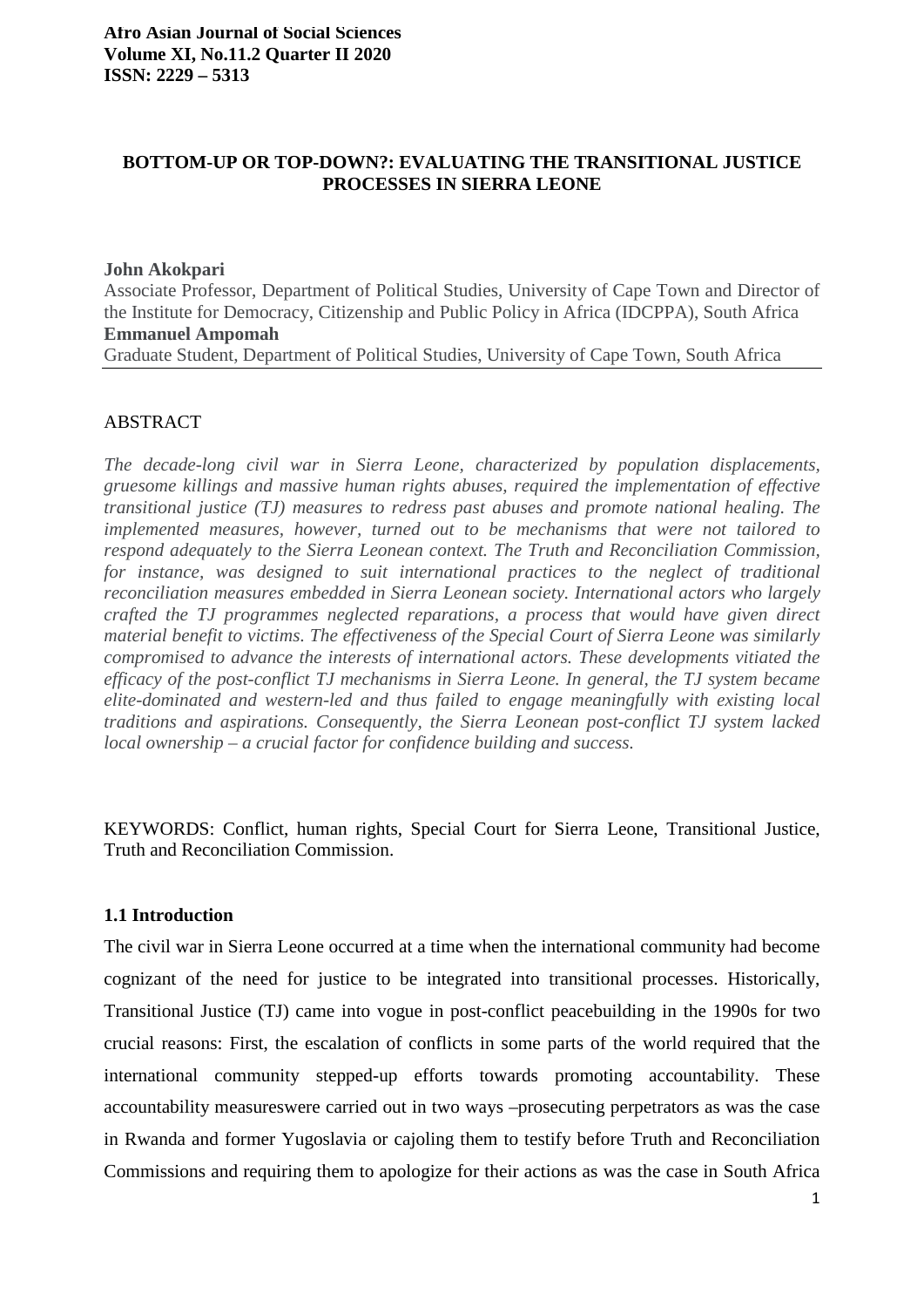# **BOTTOM-UP OR TOP-DOWN?: EVALUATING THE TRANSITIONAL JUSTICE PROCESSES IN SIERRA LEONE**

#### **John Akokpari**

Associate Professor, Department of Political Studies, University of Cape Town and Director of the Institute for Democracy, Citizenship and Public Policy in Africa (IDCPPA), South Africa **Emmanuel Ampomah**  Graduate Student, Department of Political Studies, University of Cape Town, South Africa

## ABSTRACT

*The decade-long civil war in Sierra Leone, characterized by population displacements, gruesome killings and massive human rights abuses, required the implementation of effective transitional justice (TJ) measures to redress past abuses and promote national healing. The implemented measures, however, turned out to be mechanisms that were not tailored to respond adequately to the Sierra Leonean context. The Truth and Reconciliation Commission, for instance, was designed to suit international practices to the neglect of traditional reconciliation measures embedded in Sierra Leonean society. International actors who largely crafted the TJ programmes neglected reparations, a process that would have given direct material benefit to victims. The effectiveness of the Special Court of Sierra Leone was similarly compromised to advance the interests of international actors. These developments vitiated the efficacy of the post-conflict TJ mechanisms in Sierra Leone. In general, the TJ system became elite-dominated and western-led and thus failed to engage meaningfully with existing local traditions and aspirations. Consequently, the Sierra Leonean post-conflict TJ system lacked local ownership – a crucial factor for confidence building and success.*

KEYWORDS: Conflict, human rights, Special Court for Sierra Leone, Transitional Justice, Truth and Reconciliation Commission.

## **1.1 Introduction**

The civil war in Sierra Leone occurred at a time when the international community had become cognizant of the need for justice to be integrated into transitional processes. Historically, Transitional Justice (TJ) came into vogue in post-conflict peacebuilding in the 1990s for two crucial reasons: First, the escalation of conflicts in some parts of the world required that the international community stepped-up efforts towards promoting accountability. These accountability measureswere carried out in two ways –prosecuting perpetrators as was the case in Rwanda and former Yugoslavia or cajoling them to testify before Truth and Reconciliation Commissions and requiring them to apologize for their actions as was the case in South Africa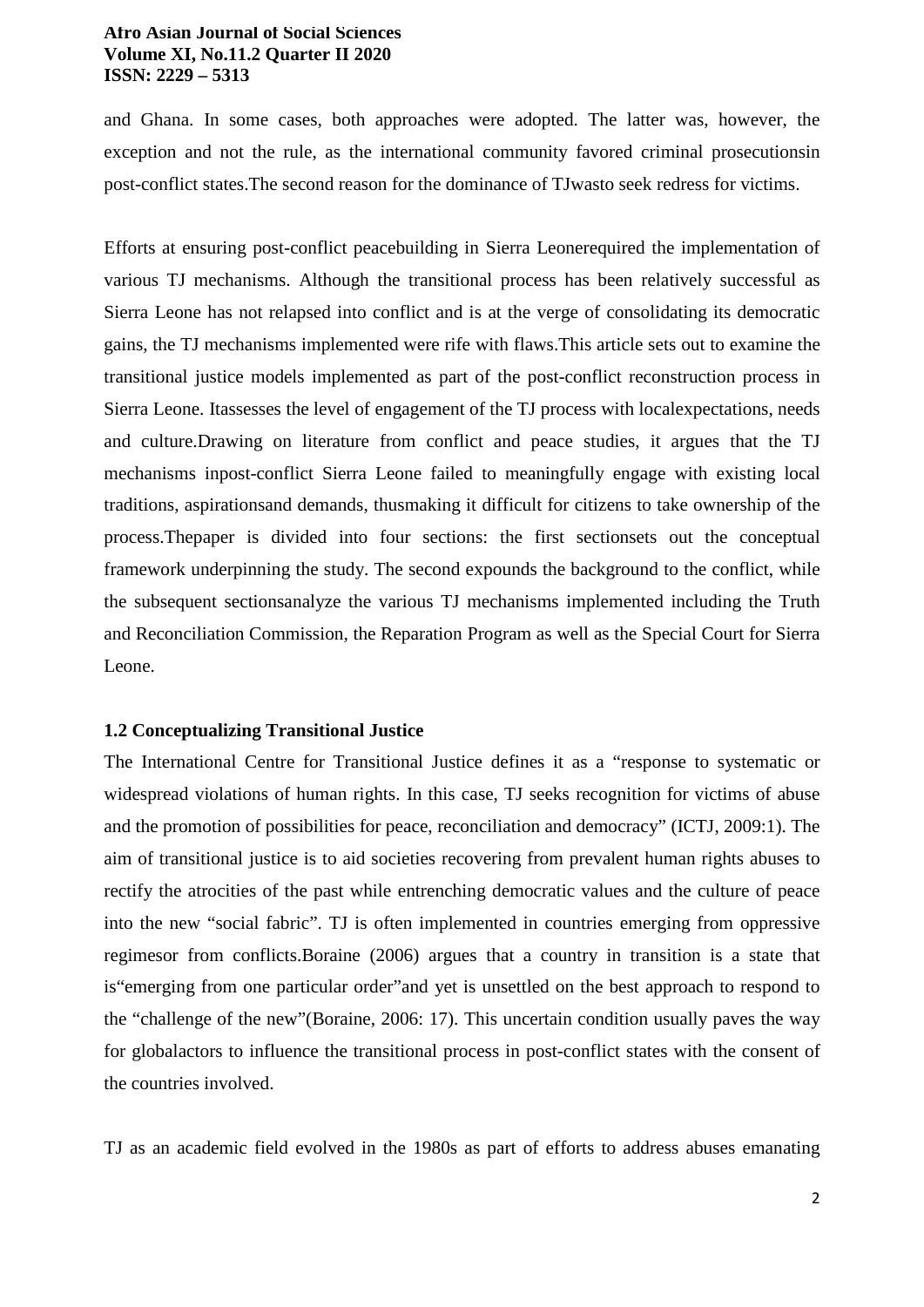and Ghana. In some cases, both approaches were adopted. The latter was, however, the exception and not the rule, as the international community favored criminal prosecutionsin post-conflict states.The second reason for the dominance of TJwasto seek redress for victims.

Efforts at ensuring post-conflict peacebuilding in Sierra Leonerequired the implementation of various TJ mechanisms. Although the transitional process has been relatively successful as Sierra Leone has not relapsed into conflict and is at the verge of consolidating its democratic gains, the TJ mechanisms implemented were rife with flaws.This article sets out to examine the transitional justice models implemented as part of the post-conflict reconstruction process in Sierra Leone. Itassesses the level of engagement of the TJ process with localexpectations, needs and culture.Drawing on literature from conflict and peace studies, it argues that the TJ mechanisms inpost-conflict Sierra Leone failed to meaningfully engage with existing local traditions, aspirationsand demands, thusmaking it difficult for citizens to take ownership of the process.Thepaper is divided into four sections: the first sectionsets out the conceptual framework underpinning the study. The second expounds the background to the conflict, while the subsequent sectionsanalyze the various TJ mechanisms implemented including the Truth and Reconciliation Commission, the Reparation Program as well as the Special Court for Sierra Leone.

#### **1.2 Conceptualizing Transitional Justice**

The International Centre for Transitional Justice defines it as a "response to systematic or widespread violations of human rights. In this case, TJ seeks recognition for victims of abuse and the promotion of possibilities for peace, reconciliation and democracy" (ICTJ, 2009:1). The aim of transitional justice is to aid societies recovering from prevalent human rights abuses to rectify the atrocities of the past while entrenching democratic values and the culture of peace into the new "social fabric". TJ is often implemented in countries emerging from oppressive regimesor from conflicts.Boraine (2006) argues that a country in transition is a state that is"emerging from one particular order"and yet is unsettled on the best approach to respond to the "challenge of the new"(Boraine, 2006: 17). This uncertain condition usually paves the way for globalactors to influence the transitional process in post-conflict states with the consent of the countries involved.

TJ as an academic field evolved in the 1980s as part of efforts to address abuses emanating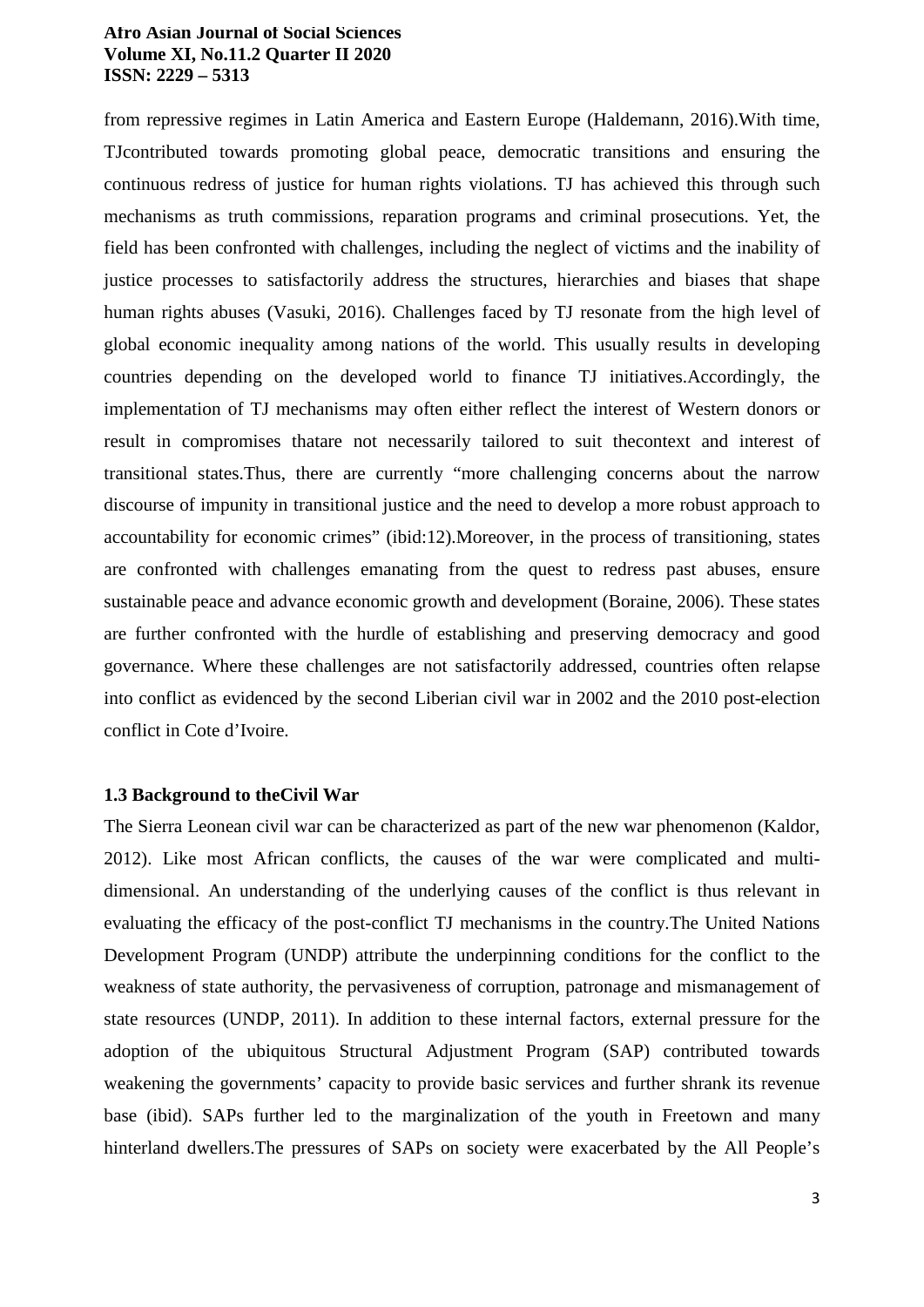from repressive regimes in Latin America and Eastern Europe (Haldemann, 2016).With time, TJcontributed towards promoting global peace, democratic transitions and ensuring the continuous redress of justice for human rights violations. TJ has achieved this through such mechanisms as truth commissions, reparation programs and criminal prosecutions. Yet, the field has been confronted with challenges, including the neglect of victims and the inability of justice processes to satisfactorily address the structures, hierarchies and biases that shape human rights abuses (Vasuki, 2016). Challenges faced by TJ resonate from the high level of global economic inequality among nations of the world. This usually results in developing countries depending on the developed world to finance TJ initiatives.Accordingly, the implementation of TJ mechanisms may often either reflect the interest of Western donors or result in compromises thatare not necessarily tailored to suit thecontext and interest of transitional states.Thus, there are currently "more challenging concerns about the narrow discourse of impunity in transitional justice and the need to develop a more robust approach to accountability for economic crimes" (ibid:12).Moreover, in the process of transitioning, states are confronted with challenges emanating from the quest to redress past abuses, ensure sustainable peace and advance economic growth and development (Boraine, 2006). These states are further confronted with the hurdle of establishing and preserving democracy and good governance. Where these challenges are not satisfactorily addressed, countries often relapse into conflict as evidenced by the second Liberian civil war in 2002 and the 2010 post-election conflict in Cote d'Ivoire.

### **1.3 Background to theCivil War**

The Sierra Leonean civil war can be characterized as part of the new war phenomenon (Kaldor, 2012). Like most African conflicts, the causes of the war were complicated and multidimensional. An understanding of the underlying causes of the conflict is thus relevant in evaluating the efficacy of the post-conflict TJ mechanisms in the country.The United Nations Development Program (UNDP) attribute the underpinning conditions for the conflict to the weakness of state authority, the pervasiveness of corruption, patronage and mismanagement of state resources (UNDP, 2011). In addition to these internal factors, external pressure for the adoption of the ubiquitous Structural Adjustment Program (SAP) contributed towards weakening the governments' capacity to provide basic services and further shrank its revenue base (ibid). SAPs further led to the marginalization of the youth in Freetown and many hinterland dwellers.The pressures of SAPs on society were exacerbated by the All People's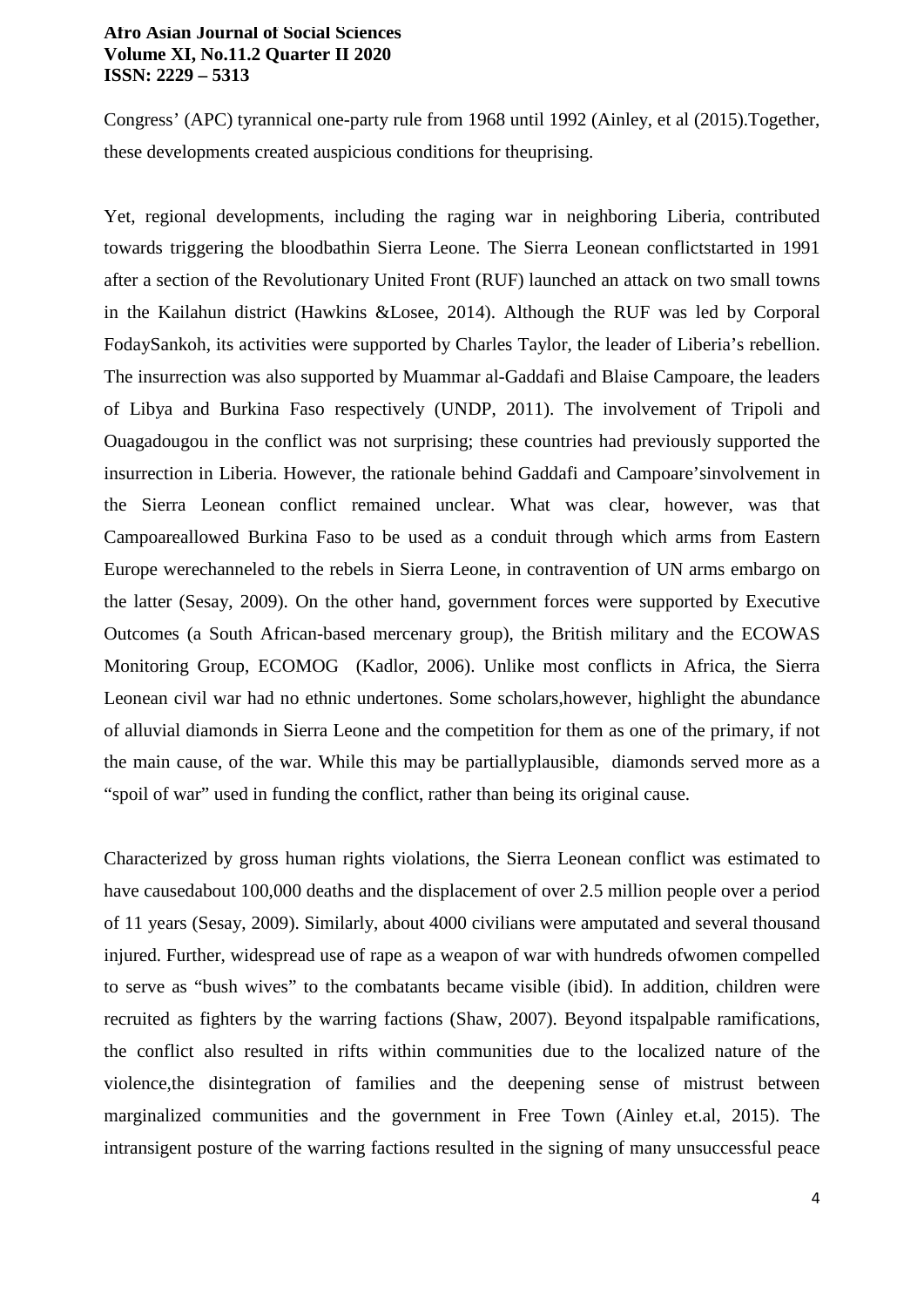Congress' (APC) tyrannical one-party rule from 1968 until 1992 (Ainley, et al (2015).Together, these developments created auspicious conditions for theuprising.

Yet, regional developments, including the raging war in neighboring Liberia, contributed towards triggering the bloodbathin Sierra Leone. The Sierra Leonean conflictstarted in 1991 after a section of the Revolutionary United Front (RUF) launched an attack on two small towns in the Kailahun district (Hawkins &Losee, 2014). Although the RUF was led by Corporal FodaySankoh, its activities were supported by Charles Taylor, the leader of Liberia's rebellion. The insurrection was also supported by Muammar al-Gaddafi and Blaise Campoare, the leaders of Libya and Burkina Faso respectively (UNDP, 2011). The involvement of Tripoli and Ouagadougou in the conflict was not surprising; these countries had previously supported the insurrection in Liberia. However, the rationale behind Gaddafi and Campoare'sinvolvement in the Sierra Leonean conflict remained unclear. What was clear, however, was that Campoareallowed Burkina Faso to be used as a conduit through which arms from Eastern Europe werechanneled to the rebels in Sierra Leone, in contravention of UN arms embargo on the latter (Sesay, 2009). On the other hand, government forces were supported by Executive Outcomes (a South African-based mercenary group), the British military and the ECOWAS Monitoring Group, ECOMOG (Kadlor, 2006). Unlike most conflicts in Africa, the Sierra Leonean civil war had no ethnic undertones. Some scholars,however, highlight the abundance of alluvial diamonds in Sierra Leone and the competition for them as one of the primary, if not the main cause, of the war. While this may be partiallyplausible, diamonds served more as a "spoil of war" used in funding the conflict, rather than being its original cause.

Characterized by gross human rights violations, the Sierra Leonean conflict was estimated to have causedabout 100,000 deaths and the displacement of over 2.5 million people over a period of 11 years (Sesay, 2009). Similarly, about 4000 civilians were amputated and several thousand injured. Further, widespread use of rape as a weapon of war with hundreds ofwomen compelled to serve as "bush wives" to the combatants became visible (ibid). In addition, children were recruited as fighters by the warring factions (Shaw, 2007). Beyond itspalpable ramifications, the conflict also resulted in rifts within communities due to the localized nature of the violence,the disintegration of families and the deepening sense of mistrust between marginalized communities and the government in Free Town (Ainley et.al, 2015). The intransigent posture of the warring factions resulted in the signing of many unsuccessful peace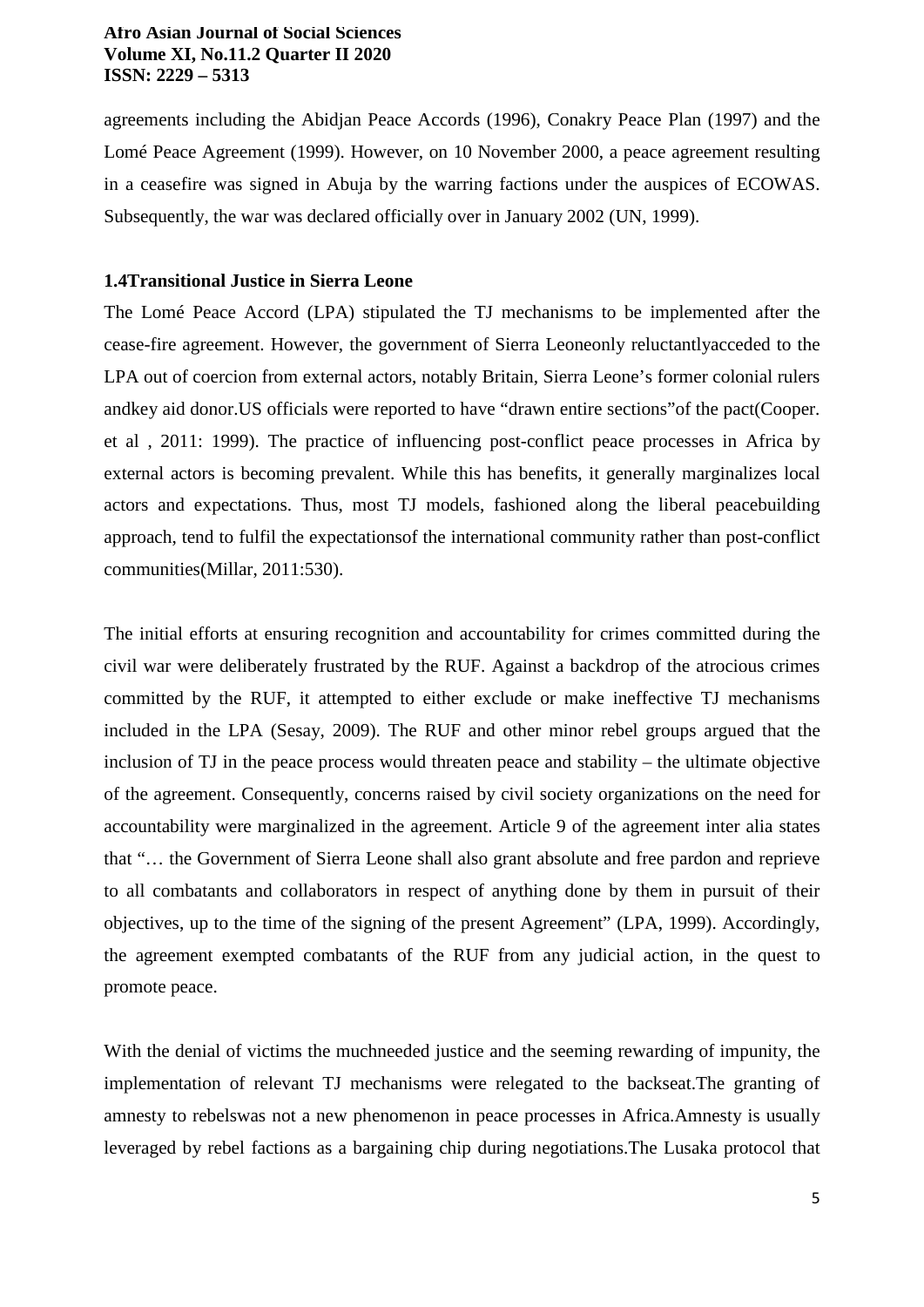agreements including the Abidjan Peace Accords (1996), Conakry Peace Plan (1997) and the Lomé Peace Agreement (1999). However, on 10 November 2000, a peace agreement resulting in a ceasefire was signed in Abuja by the warring factions under the auspices of ECOWAS. Subsequently, the war was declared officially over in January 2002 (UN, 1999).

## **1.4Transitional Justice in Sierra Leone**

The Lomé Peace Accord (LPA) stipulated the TJ mechanisms to be implemented after the cease-fire agreement. However, the government of Sierra Leoneonly reluctantlyacceded to the LPA out of coercion from external actors, notably Britain, Sierra Leone's former colonial rulers andkey aid donor.US officials were reported to have "drawn entire sections"of the pact(Cooper. et al , 2011: 1999). The practice of influencing post-conflict peace processes in Africa by external actors is becoming prevalent. While this has benefits, it generally marginalizes local actors and expectations. Thus, most TJ models, fashioned along the liberal peacebuilding approach, tend to fulfil the expectationsof the international community rather than post-conflict communities(Millar, 2011:530).

The initial efforts at ensuring recognition and accountability for crimes committed during the civil war were deliberately frustrated by the RUF. Against a backdrop of the atrocious crimes committed by the RUF, it attempted to either exclude or make ineffective TJ mechanisms included in the LPA (Sesay, 2009). The RUF and other minor rebel groups argued that the inclusion of TJ in the peace process would threaten peace and stability – the ultimate objective of the agreement. Consequently, concerns raised by civil society organizations on the need for accountability were marginalized in the agreement. Article 9 of the agreement inter alia states that "… the Government of Sierra Leone shall also grant absolute and free pardon and reprieve to all combatants and collaborators in respect of anything done by them in pursuit of their objectives, up to the time of the signing of the present Agreement" (LPA, 1999). Accordingly, the agreement exempted combatants of the RUF from any judicial action, in the quest to promote peace.

With the denial of victims the muchneeded justice and the seeming rewarding of impunity, the implementation of relevant TJ mechanisms were relegated to the backseat.The granting of amnesty to rebelswas not a new phenomenon in peace processes in Africa.Amnesty is usually leveraged by rebel factions as a bargaining chip during negotiations.The Lusaka protocol that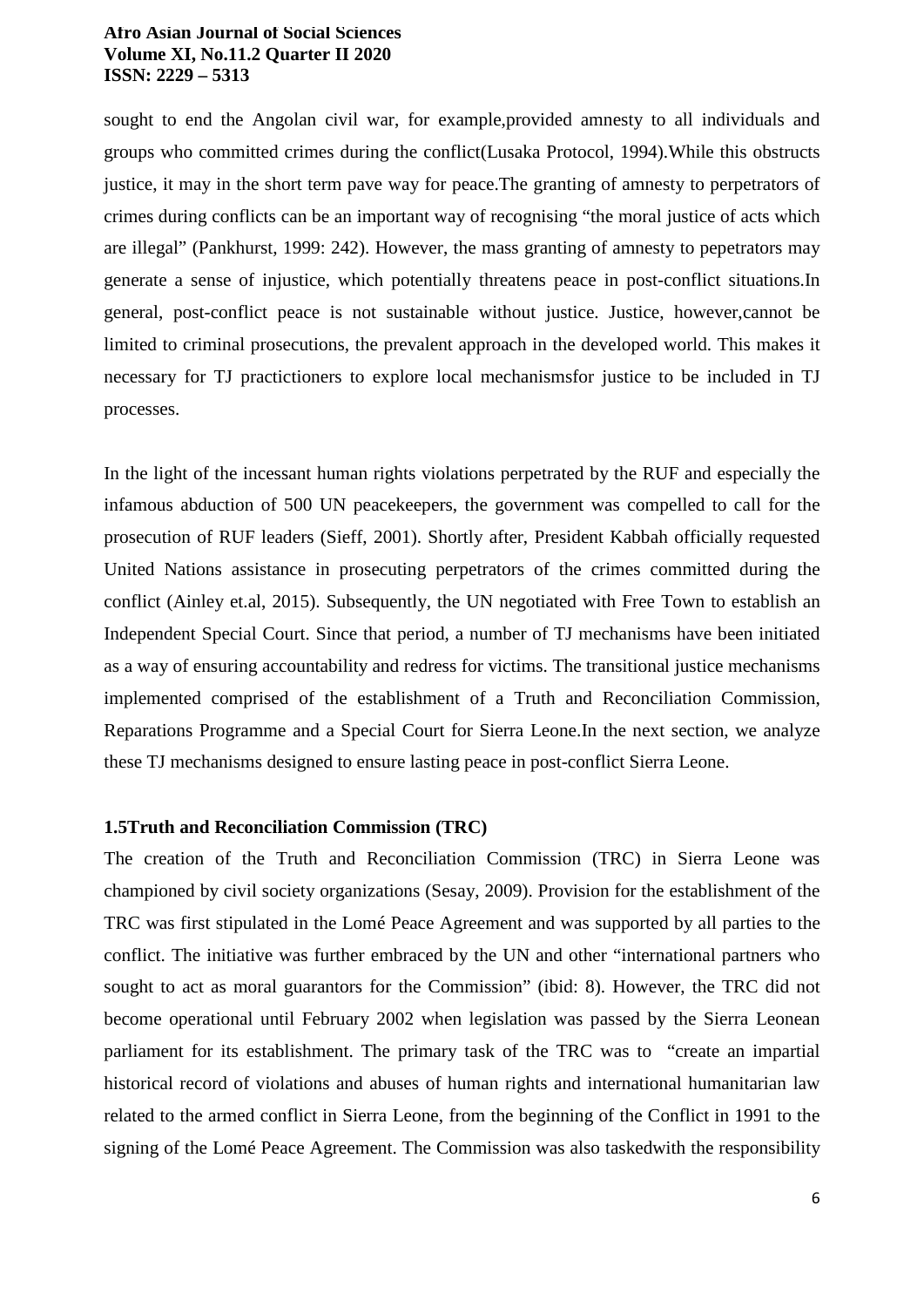sought to end the Angolan civil war, for example,provided amnesty to all individuals and groups who committed crimes during the conflict(Lusaka Protocol, 1994).While this obstructs justice, it may in the short term pave way for peace.The granting of amnesty to perpetrators of crimes during conflicts can be an important way of recognising "the moral justice of acts which are illegal" (Pankhurst, 1999: 242). However, the mass granting of amnesty to pepetrators may generate a sense of injustice, which potentially threatens peace in post-conflict situations.In general, post-conflict peace is not sustainable without justice. Justice, however,cannot be limited to criminal prosecutions, the prevalent approach in the developed world. This makes it necessary for TJ practictioners to explore local mechanismsfor justice to be included in TJ processes.

In the light of the incessant human rights violations perpetrated by the RUF and especially the infamous abduction of 500 UN peacekeepers, the government was compelled to call for the prosecution of RUF leaders (Sieff, 2001). Shortly after, President Kabbah officially requested United Nations assistance in prosecuting perpetrators of the crimes committed during the conflict (Ainley et.al, 2015). Subsequently, the UN negotiated with Free Town to establish an Independent Special Court. Since that period, a number of TJ mechanisms have been initiated as a way of ensuring accountability and redress for victims. The transitional justice mechanisms implemented comprised of the establishment of a Truth and Reconciliation Commission, Reparations Programme and a Special Court for Sierra Leone.In the next section, we analyze these TJ mechanisms designed to ensure lasting peace in post-conflict Sierra Leone.

# **1.5Truth and Reconciliation Commission (TRC)**

The creation of the Truth and Reconciliation Commission (TRC) in Sierra Leone was championed by civil society organizations (Sesay, 2009). Provision for the establishment of the TRC was first stipulated in the Lomé Peace Agreement and was supported by all parties to the conflict. The initiative was further embraced by the UN and other "international partners who sought to act as moral guarantors for the Commission" (ibid: 8). However, the TRC did not become operational until February 2002 when legislation was passed by the Sierra Leonean parliament for its establishment. The primary task of the TRC was to "create an impartial historical record of violations and abuses of human rights and international humanitarian law related to the armed conflict in Sierra Leone, from the beginning of the Conflict in 1991 to the signing of the Lomé Peace Agreement. The Commission was also taskedwith the responsibility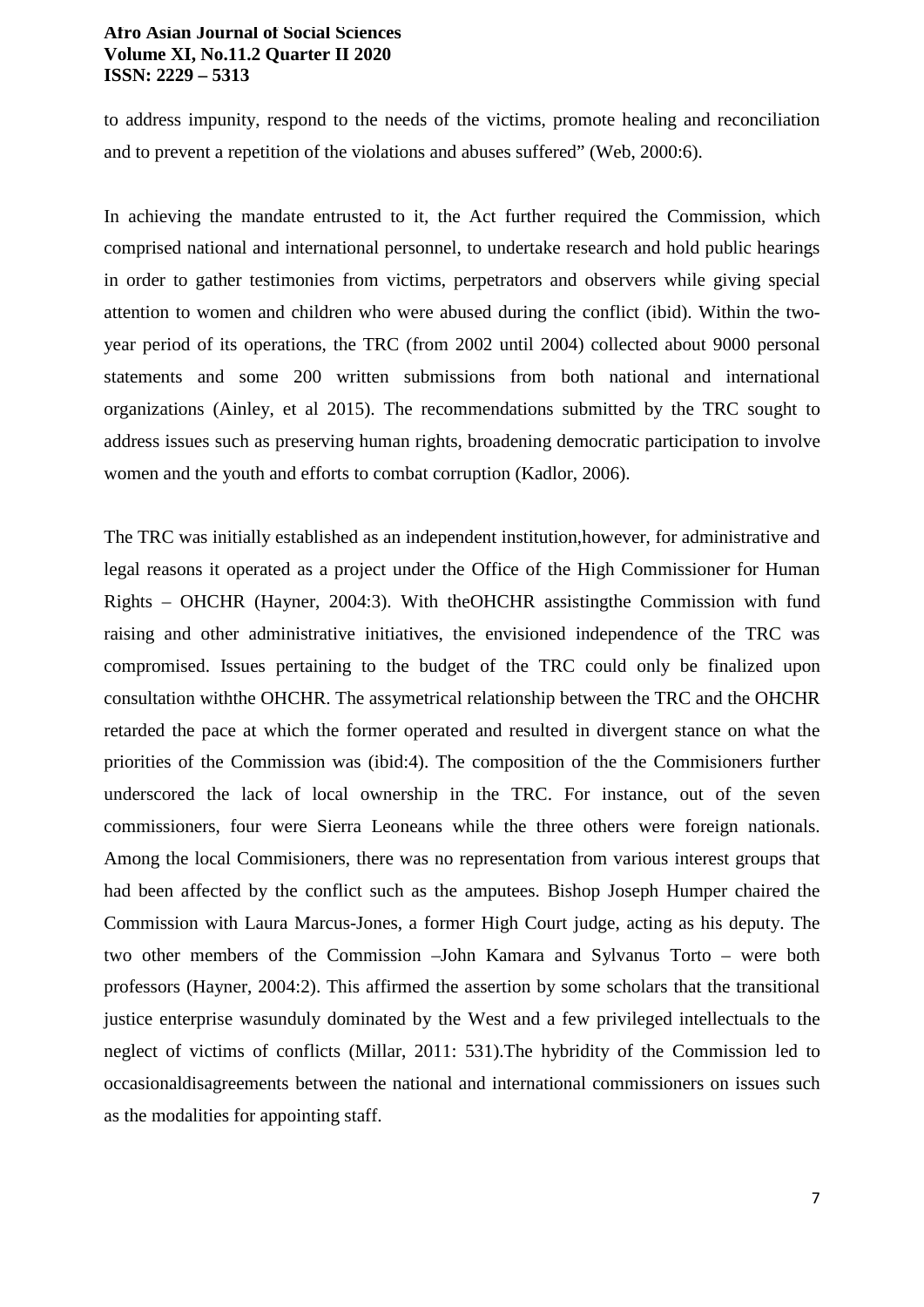to address impunity, respond to the needs of the victims, promote healing and reconciliation and to prevent a repetition of the violations and abuses suffered" (Web, 2000:6).

In achieving the mandate entrusted to it, the Act further required the Commission, which comprised national and international personnel, to undertake research and hold public hearings in order to gather testimonies from victims, perpetrators and observers while giving special attention to women and children who were abused during the conflict (ibid). Within the twoyear period of its operations, the TRC (from 2002 until 2004) collected about 9000 personal statements and some 200 written submissions from both national and international organizations (Ainley, et al 2015). The recommendations submitted by the TRC sought to address issues such as preserving human rights, broadening democratic participation to involve women and the youth and efforts to combat corruption (Kadlor, 2006).

The TRC was initially established as an independent institution,however, for administrative and legal reasons it operated as a project under the Office of the High Commissioner for Human Rights – OHCHR (Hayner, 2004:3). With theOHCHR assistingthe Commission with fund raising and other administrative initiatives, the envisioned independence of the TRC was compromised. Issues pertaining to the budget of the TRC could only be finalized upon consultation withthe OHCHR. The assymetrical relationship between the TRC and the OHCHR retarded the pace at which the former operated and resulted in divergent stance on what the priorities of the Commission was (ibid:4). The composition of the the Commisioners further underscored the lack of local ownership in the TRC. For instance, out of the seven commissioners, four were Sierra Leoneans while the three others were foreign nationals. Among the local Commisioners, there was no representation from various interest groups that had been affected by the conflict such as the amputees. Bishop Joseph Humper chaired the Commission with Laura Marcus-Jones, a former High Court judge, acting as his deputy. The two other members of the Commission –John Kamara and Sylvanus Torto – were both professors (Hayner, 2004:2). This affirmed the assertion by some scholars that the transitional justice enterprise wasunduly dominated by the West and a few privileged intellectuals to the neglect of victims of conflicts (Millar, 2011: 531).The hybridity of the Commission led to occasionaldisagreements between the national and international commissioners on issues such as the modalities for appointing staff.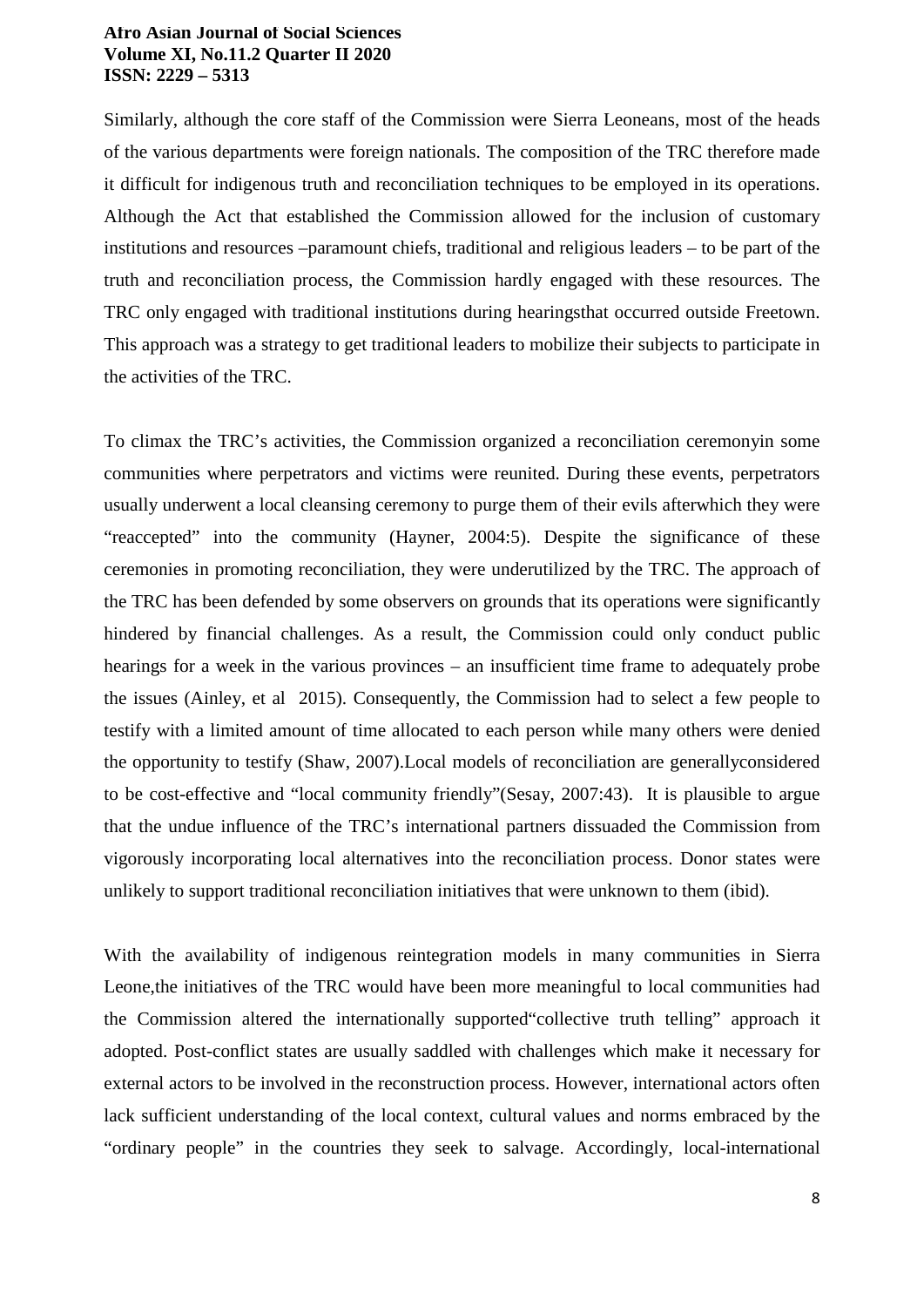Similarly, although the core staff of the Commission were Sierra Leoneans, most of the heads of the various departments were foreign nationals. The composition of the TRC therefore made it difficult for indigenous truth and reconciliation techniques to be employed in its operations. Although the Act that established the Commission allowed for the inclusion of customary institutions and resources –paramount chiefs, traditional and religious leaders – to be part of the truth and reconciliation process, the Commission hardly engaged with these resources. The TRC only engaged with traditional institutions during hearingsthat occurred outside Freetown. This approach was a strategy to get traditional leaders to mobilize their subjects to participate in the activities of the TRC.

To climax the TRC's activities, the Commission organized a reconciliation ceremonyin some communities where perpetrators and victims were reunited. During these events, perpetrators usually underwent a local cleansing ceremony to purge them of their evils afterwhich they were "reaccepted" into the community (Hayner, 2004:5). Despite the significance of these ceremonies in promoting reconciliation, they were underutilized by the TRC. The approach of the TRC has been defended by some observers on grounds that its operations were significantly hindered by financial challenges. As a result, the Commission could only conduct public hearings for a week in the various provinces – an insufficient time frame to adequately probe the issues (Ainley, et al 2015). Consequently, the Commission had to select a few people to testify with a limited amount of time allocated to each person while many others were denied the opportunity to testify (Shaw, 2007).Local models of reconciliation are generallyconsidered to be cost-effective and "local community friendly"(Sesay, 2007:43). It is plausible to argue that the undue influence of the TRC's international partners dissuaded the Commission from vigorously incorporating local alternatives into the reconciliation process. Donor states were unlikely to support traditional reconciliation initiatives that were unknown to them (ibid).

With the availability of indigenous reintegration models in many communities in Sierra Leone,the initiatives of the TRC would have been more meaningful to local communities had the Commission altered the internationally supported"collective truth telling" approach it adopted. Post-conflict states are usually saddled with challenges which make it necessary for external actors to be involved in the reconstruction process. However, international actors often lack sufficient understanding of the local context, cultural values and norms embraced by the "ordinary people" in the countries they seek to salvage. Accordingly, local-international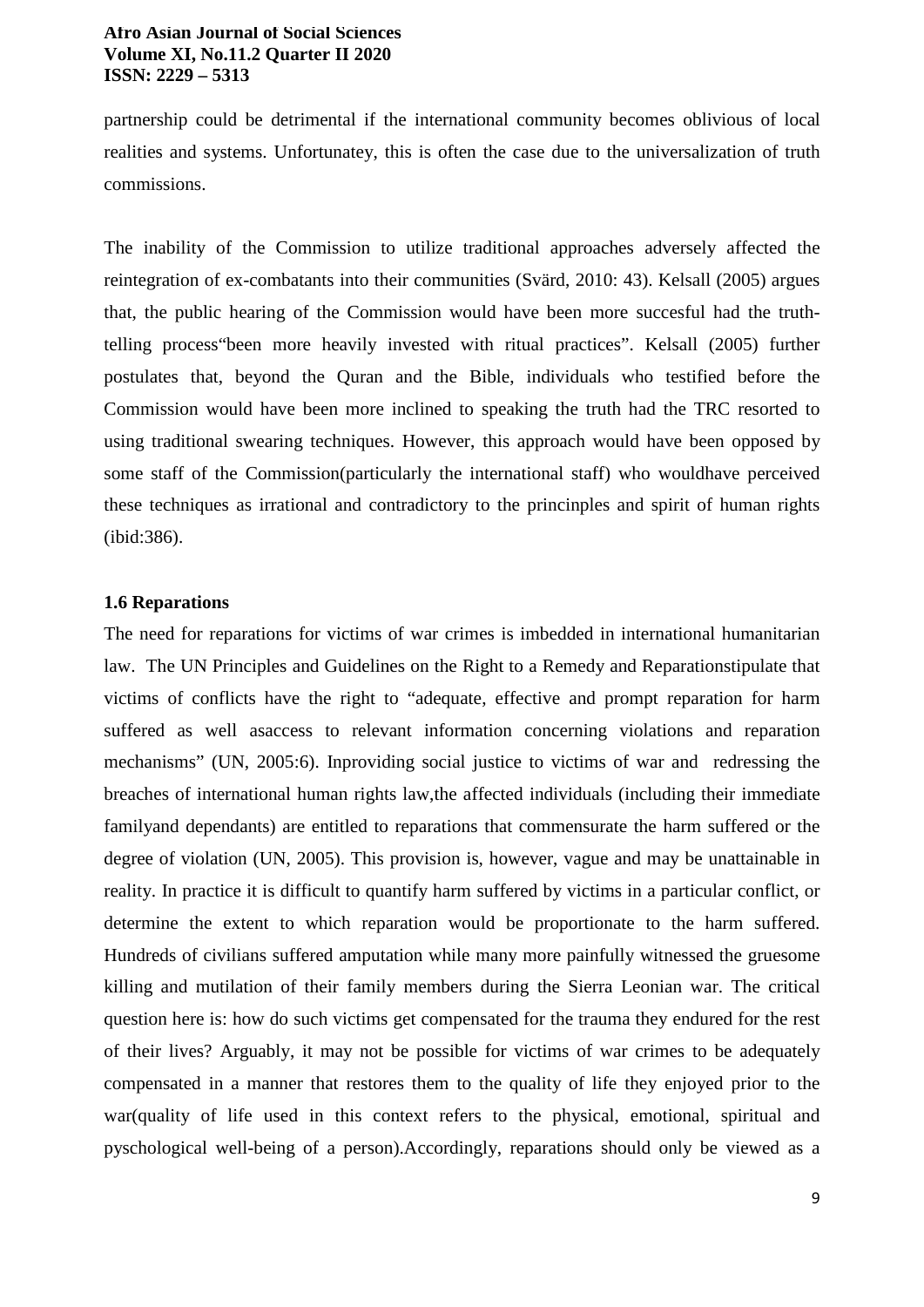partnership could be detrimental if the international community becomes oblivious of local realities and systems. Unfortunatey, this is often the case due to the universalization of truth commissions.

The inability of the Commission to utilize traditional approaches adversely affected the reintegration of ex-combatants into their communities (Svärd, 2010: 43). Kelsall (2005) argues that, the public hearing of the Commission would have been more succesful had the truthtelling process"been more heavily invested with ritual practices". Kelsall (2005) further postulates that, beyond the Quran and the Bible, individuals who testified before the Commission would have been more inclined to speaking the truth had the TRC resorted to using traditional swearing techniques. However, this approach would have been opposed by some staff of the Commission(particularly the international staff) who wouldhave perceived these techniques as irrational and contradictory to the princinples and spirit of human rights (ibid:386).

# **1.6 Reparations**

The need for reparations for victims of war crimes is imbedded in international humanitarian law. The UN Principles and Guidelines on the Right to a Remedy and Reparationstipulate that victims of conflicts have the right to "adequate, effective and prompt reparation for harm suffered as well asaccess to relevant information concerning violations and reparation mechanisms" (UN, 2005:6). Inproviding social justice to victims of war and redressing the breaches of international human rights law,the affected individuals (including their immediate familyand dependants) are entitled to reparations that commensurate the harm suffered or the degree of violation (UN, 2005). This provision is, however, vague and may be unattainable in reality. In practice it is difficult to quantify harm suffered by victims in a particular conflict, or determine the extent to which reparation would be proportionate to the harm suffered. Hundreds of civilians suffered amputation while many more painfully witnessed the gruesome killing and mutilation of their family members during the Sierra Leonian war. The critical question here is: how do such victims get compensated for the trauma they endured for the rest of their lives? Arguably, it may not be possible for victims of war crimes to be adequately compensated in a manner that restores them to the quality of life they enjoyed prior to the war(quality of life used in this context refers to the physical, emotional, spiritual and pyschological well-being of a person).Accordingly, reparations should only be viewed as a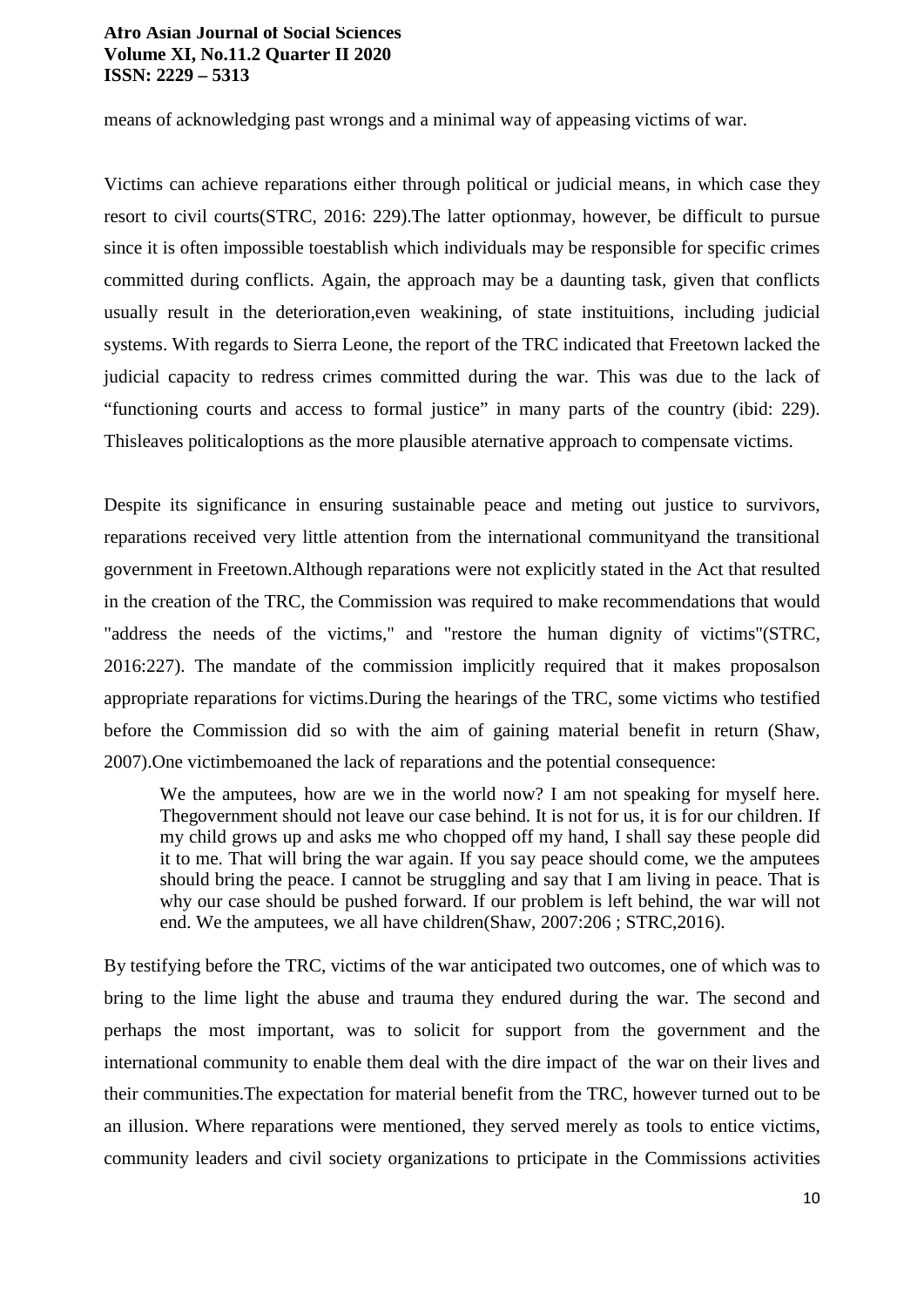means of acknowledging past wrongs and a minimal way of appeasing victims of war.

Victims can achieve reparations either through political or judicial means, in which case they resort to civil courts(STRC, 2016: 229).The latter optionmay, however, be difficult to pursue since it is often impossible toestablish which individuals may be responsible for specific crimes committed during conflicts. Again, the approach may be a daunting task, given that conflicts usually result in the deterioration,even weakining, of state instituitions, including judicial systems. With regards to Sierra Leone, the report of the TRC indicated that Freetown lacked the judicial capacity to redress crimes committed during the war. This was due to the lack of "functioning courts and access to formal justice" in many parts of the country (ibid: 229). Thisleaves politicaloptions as the more plausible aternative approach to compensate victims.

Despite its significance in ensuring sustainable peace and meting out justice to survivors, reparations received very little attention from the international communityand the transitional government in Freetown.Although reparations were not explicitly stated in the Act that resulted in the creation of the TRC, the Commission was required to make recommendations that would "address the needs of the victims," and "restore the human dignity of victims"(STRC, 2016:227). The mandate of the commission implicitly required that it makes proposalson appropriate reparations for victims.During the hearings of the TRC, some victims who testified before the Commission did so with the aim of gaining material benefit in return (Shaw, 2007).One victimbemoaned the lack of reparations and the potential consequence:

We the amputees, how are we in the world now? I am not speaking for myself here. Thegovernment should not leave our case behind. It is not for us, it is for our children. If my child grows up and asks me who chopped off my hand, I shall say these people did it to me. That will bring the war again. If you say peace should come, we the amputees should bring the peace. I cannot be struggling and say that I am living in peace. That is why our case should be pushed forward. If our problem is left behind, the war will not end. We the amputees, we all have children(Shaw, 2007:206 ; STRC,2016).

By testifying before the TRC, victims of the war anticipated two outcomes, one of which was to bring to the lime light the abuse and trauma they endured during the war. The second and perhaps the most important, was to solicit for support from the government and the international community to enable them deal with the dire impact of the war on their lives and their communities.The expectation for material benefit from the TRC, however turned out to be an illusion. Where reparations were mentioned, they served merely as tools to entice victims, community leaders and civil society organizations to prticipate in the Commissions activities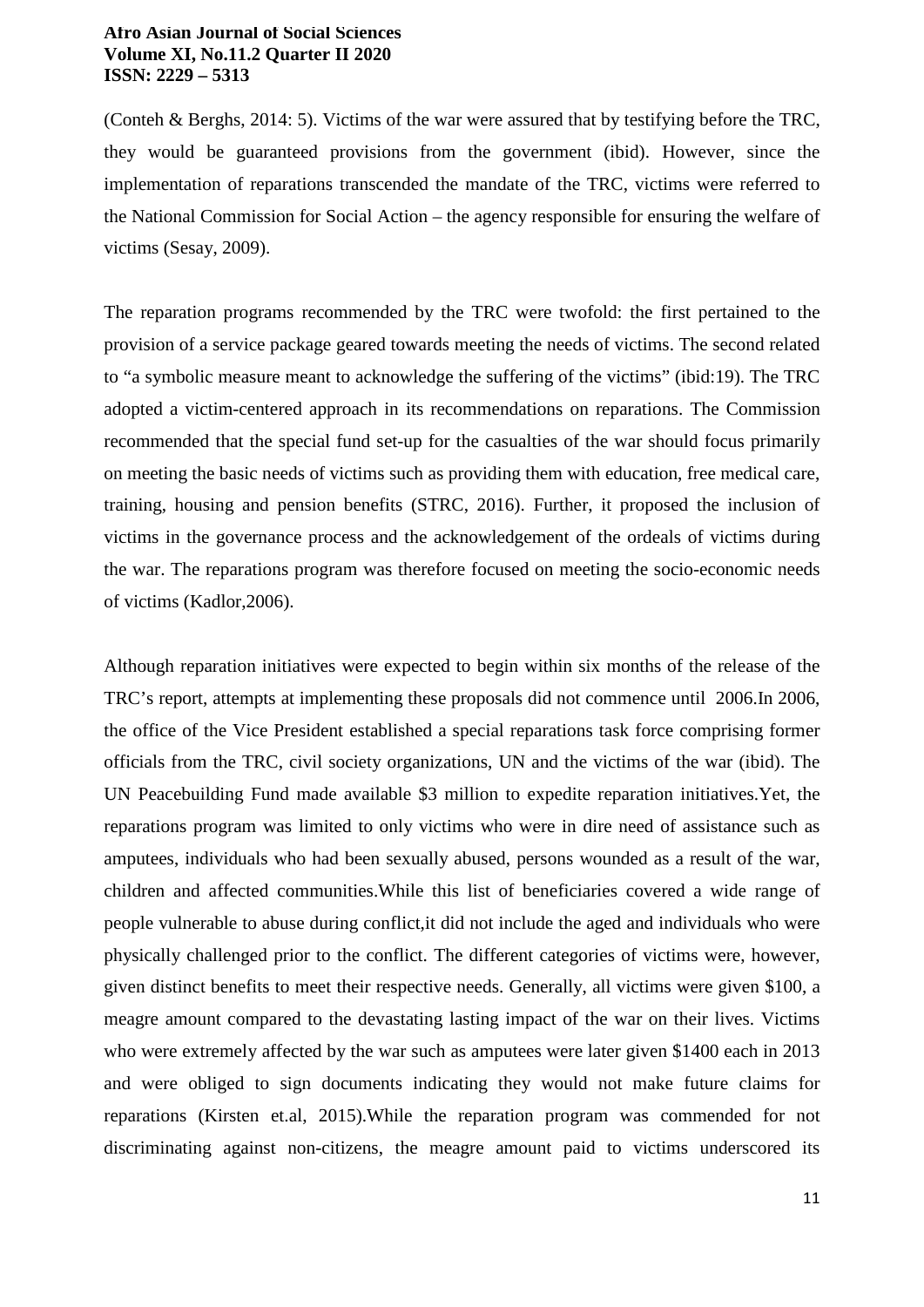(Conteh & Berghs, 2014: 5). Victims of the war were assured that by testifying before the TRC, they would be guaranteed provisions from the government (ibid). However, since the implementation of reparations transcended the mandate of the TRC, victims were referred to the National Commission for Social Action – the agency responsible for ensuring the welfare of victims (Sesay, 2009).

The reparation programs recommended by the TRC were twofold: the first pertained to the provision of a service package geared towards meeting the needs of victims. The second related to "a symbolic measure meant to acknowledge the suffering of the victims" (ibid:19). The TRC adopted a victim-centered approach in its recommendations on reparations. The Commission recommended that the special fund set-up for the casualties of the war should focus primarily on meeting the basic needs of victims such as providing them with education, free medical care, training, housing and pension benefits (STRC, 2016). Further, it proposed the inclusion of victims in the governance process and the acknowledgement of the ordeals of victims during the war. The reparations program was therefore focused on meeting the socio-economic needs of victims (Kadlor,2006).

Although reparation initiatives were expected to begin within six months of the release of the TRC's report, attempts at implementing these proposals did not commence until 2006.In 2006, the office of the Vice President established a special reparations task force comprising former officials from the TRC, civil society organizations, UN and the victims of the war (ibid). The UN Peacebuilding Fund made available \$3 million to expedite reparation initiatives.Yet, the reparations program was limited to only victims who were in dire need of assistance such as amputees, individuals who had been sexually abused, persons wounded as a result of the war, children and affected communities.While this list of beneficiaries covered a wide range of people vulnerable to abuse during conflict,it did not include the aged and individuals who were physically challenged prior to the conflict. The different categories of victims were, however, given distinct benefits to meet their respective needs. Generally, all victims were given \$100, a meagre amount compared to the devastating lasting impact of the war on their lives. Victims who were extremely affected by the war such as amputees were later given \$1400 each in 2013 and were obliged to sign documents indicating they would not make future claims for reparations (Kirsten et.al, 2015).While the reparation program was commended for not discriminating against non-citizens, the meagre amount paid to victims underscored its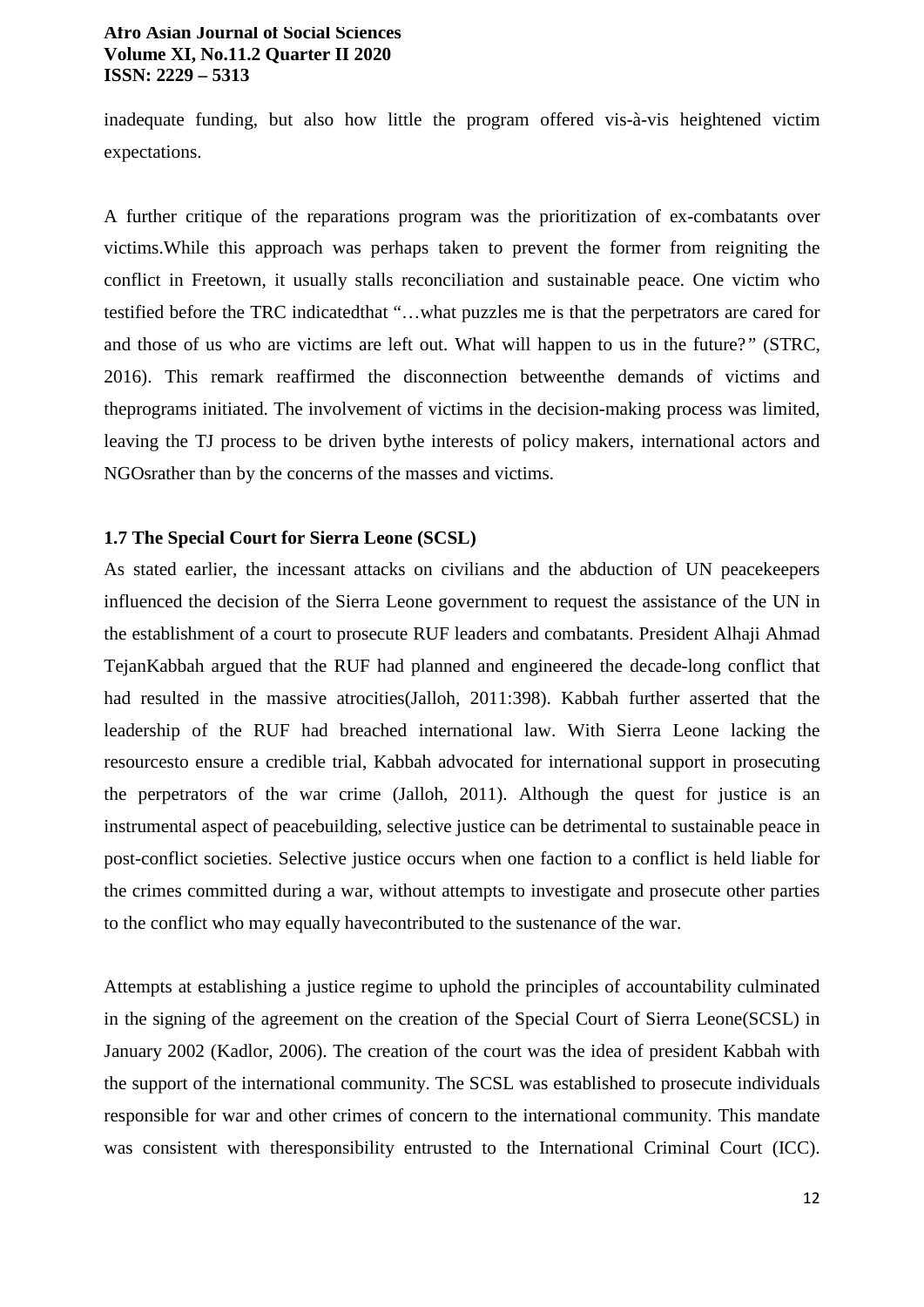inadequate funding, but also how little the program offered vis-à-vis heightened victim expectations.

A further critique of the reparations program was the prioritization of ex-combatants over victims.While this approach was perhaps taken to prevent the former from reigniting the conflict in Freetown, it usually stalls reconciliation and sustainable peace. One victim who testified before the TRC indicatedthat "…what puzzles me is that the perpetrators are cared for and those of us who are victims are left out. What will happen to us in the future?*"* (STRC, 2016). This remark reaffirmed the disconnection betweenthe demands of victims and theprograms initiated. The involvement of victims in the decision-making process was limited, leaving the TJ process to be driven bythe interests of policy makers, international actors and NGOsrather than by the concerns of the masses and victims.

# **1.7 The Special Court for Sierra Leone (SCSL)**

As stated earlier, the incessant attacks on civilians and the abduction of UN peacekeepers influenced the decision of the Sierra Leone government to request the assistance of the UN in the establishment of a court to prosecute RUF leaders and combatants. President Alhaji Ahmad TejanKabbah argued that the RUF had planned and engineered the decade-long conflict that had resulted in the massive atrocities(Jalloh, 2011:398). Kabbah further asserted that the leadership of the RUF had breached international law. With Sierra Leone lacking the resourcesto ensure a credible trial, Kabbah advocated for international support in prosecuting the perpetrators of the war crime (Jalloh, 2011). Although the quest for justice is an instrumental aspect of peacebuilding, selective justice can be detrimental to sustainable peace in post-conflict societies. Selective justice occurs when one faction to a conflict is held liable for the crimes committed during a war, without attempts to investigate and prosecute other parties to the conflict who may equally havecontributed to the sustenance of the war.

Attempts at establishing a justice regime to uphold the principles of accountability culminated in the signing of the agreement on the creation of the Special Court of Sierra Leone(SCSL) in January 2002 (Kadlor, 2006). The creation of the court was the idea of president Kabbah with the support of the international community. The SCSL was established to prosecute individuals responsible for war and other crimes of concern to the international community. This mandate was consistent with theresponsibility entrusted to the International Criminal Court (ICC).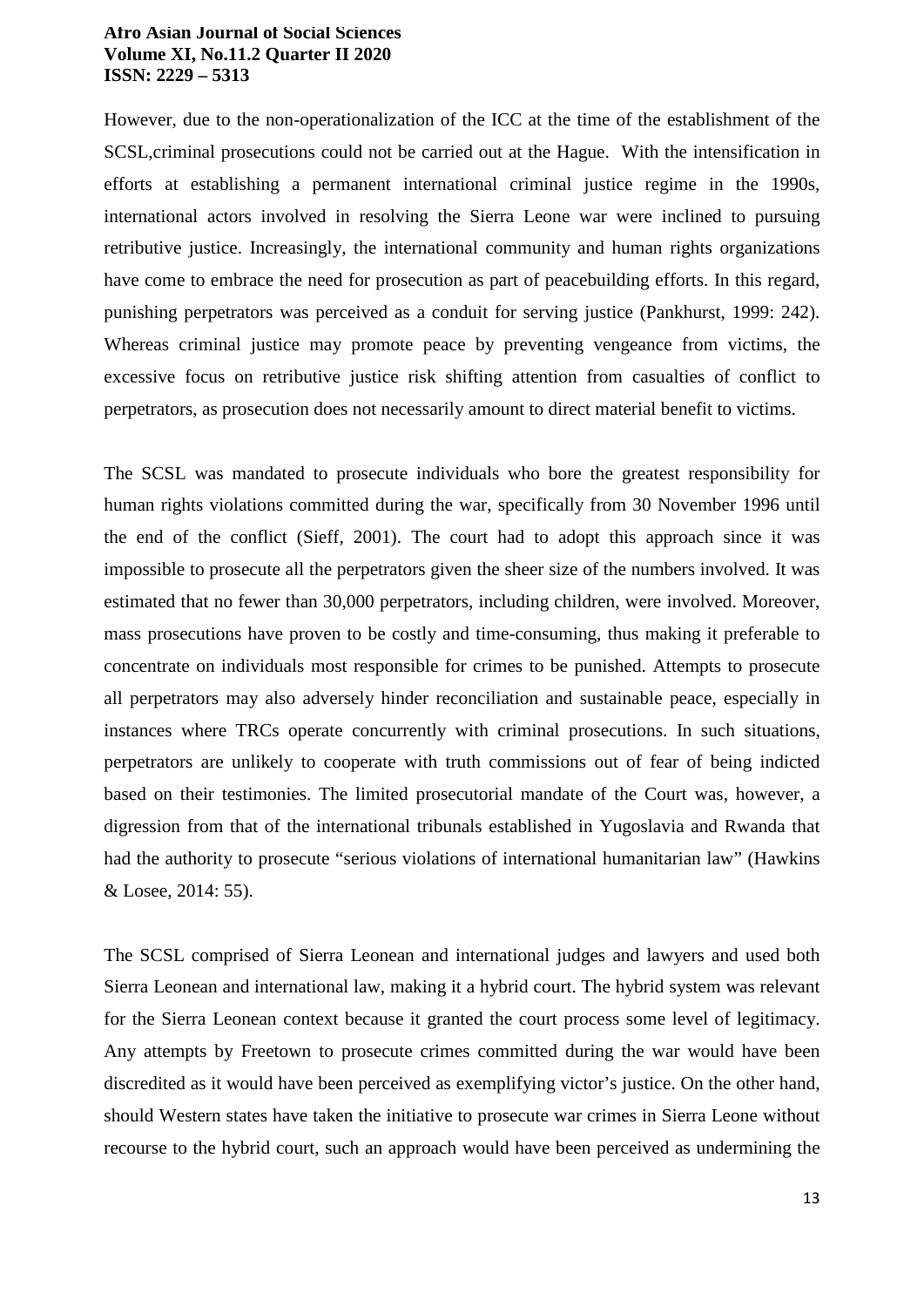However, due to the non-operationalization of the ICC at the time of the establishment of the SCSL,criminal prosecutions could not be carried out at the Hague. With the intensification in efforts at establishing a permanent international criminal justice regime in the 1990s, international actors involved in resolving the Sierra Leone war were inclined to pursuing retributive justice. Increasingly, the international community and human rights organizations have come to embrace the need for prosecution as part of peacebuilding efforts. In this regard, punishing perpetrators was perceived as a conduit for serving justice (Pankhurst, 1999: 242). Whereas criminal justice may promote peace by preventing vengeance from victims, the excessive focus on retributive justice risk shifting attention from casualties of conflict to perpetrators, as prosecution does not necessarily amount to direct material benefit to victims.

The SCSL was mandated to prosecute individuals who bore the greatest responsibility for human rights violations committed during the war, specifically from 30 November 1996 until the end of the conflict (Sieff, 2001). The court had to adopt this approach since it was impossible to prosecute all the perpetrators given the sheer size of the numbers involved. It was estimated that no fewer than 30,000 perpetrators, including children, were involved. Moreover, mass prosecutions have proven to be costly and time-consuming, thus making it preferable to concentrate on individuals most responsible for crimes to be punished. Attempts to prosecute all perpetrators may also adversely hinder reconciliation and sustainable peace, especially in instances where TRCs operate concurrently with criminal prosecutions. In such situations, perpetrators are unlikely to cooperate with truth commissions out of fear of being indicted based on their testimonies. The limited prosecutorial mandate of the Court was, however, a digression from that of the international tribunals established in Yugoslavia and Rwanda that had the authority to prosecute "serious violations of international humanitarian law" (Hawkins & Losee, 2014: 55).

The SCSL comprised of Sierra Leonean and international judges and lawyers and used both Sierra Leonean and international law, making it a hybrid court. The hybrid system was relevant for the Sierra Leonean context because it granted the court process some level of legitimacy. Any attempts by Freetown to prosecute crimes committed during the war would have been discredited as it would have been perceived as exemplifying victor's justice. On the other hand, should Western states have taken the initiative to prosecute war crimes in Sierra Leone without recourse to the hybrid court, such an approach would have been perceived as undermining the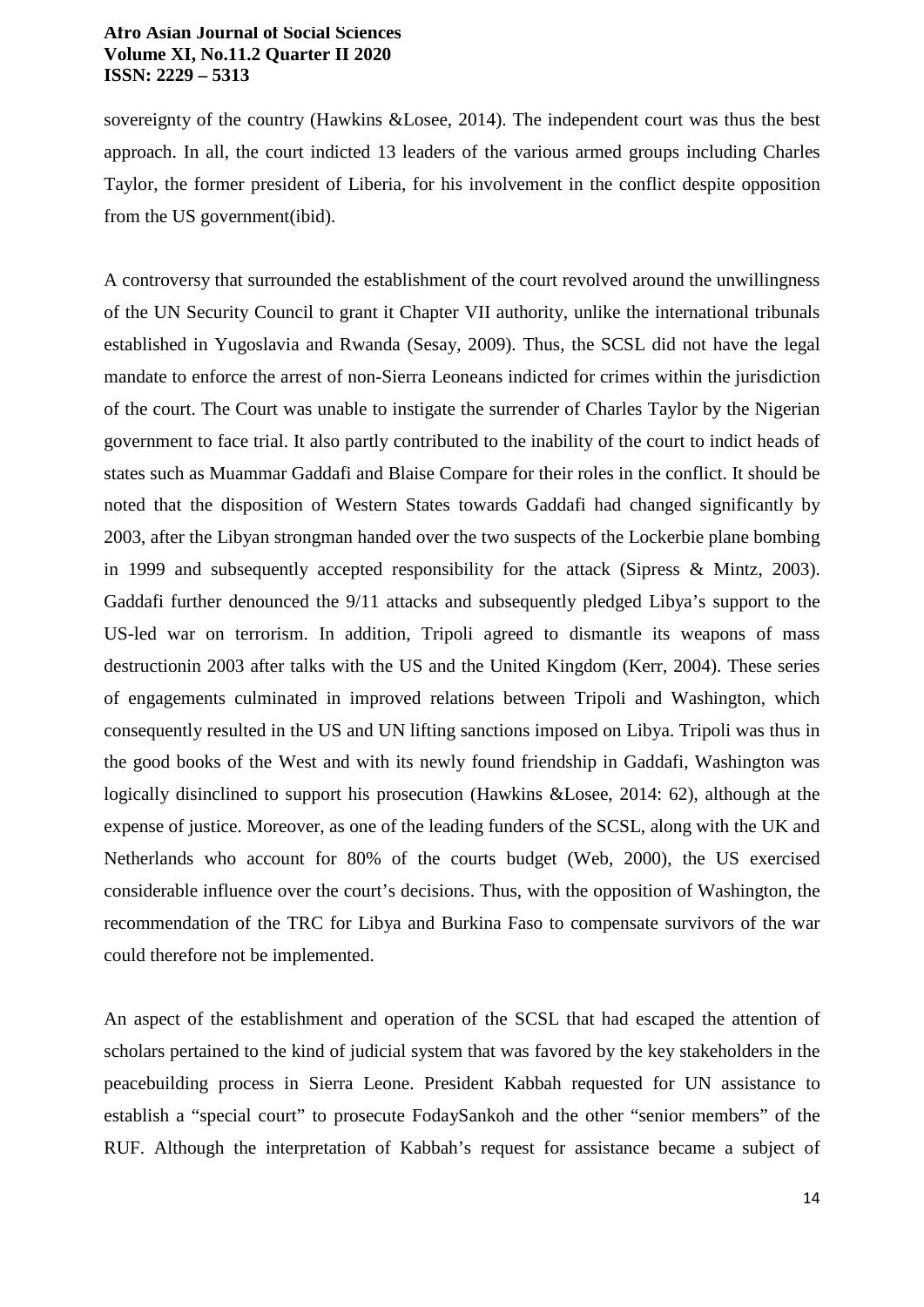sovereignty of the country (Hawkins &Losee, 2014). The independent court was thus the best approach. In all, the court indicted 13 leaders of the various armed groups including Charles Taylor, the former president of Liberia, for his involvement in the conflict despite opposition from the US government(ibid).

A controversy that surrounded the establishment of the court revolved around the unwillingness of the UN Security Council to grant it Chapter VII authority, unlike the international tribunals established in Yugoslavia and Rwanda (Sesay, 2009). Thus, the SCSL did not have the legal mandate to enforce the arrest of non-Sierra Leoneans indicted for crimes within the jurisdiction of the court. The Court was unable to instigate the surrender of Charles Taylor by the Nigerian government to face trial. It also partly contributed to the inability of the court to indict heads of states such as Muammar Gaddafi and Blaise Compare for their roles in the conflict. It should be noted that the disposition of Western States towards Gaddafi had changed significantly by 2003, after the Libyan strongman handed over the two suspects of the Lockerbie plane bombing in 1999 and subsequently accepted responsibility for the attack (Sipress & Mintz, 2003). Gaddafi further denounced the 9/11 attacks and subsequently pledged Libya's support to the US-led war on terrorism. In addition, Tripoli agreed to dismantle its weapons of mass destructionin 2003 after talks with the US and the United Kingdom (Kerr, 2004). These series of engagements culminated in improved relations between Tripoli and Washington, which consequently resulted in the US and UN lifting sanctions imposed on Libya. Tripoli was thus in the good books of the West and with its newly found friendship in Gaddafi, Washington was logically disinclined to support his prosecution (Hawkins &Losee, 2014: 62), although at the expense of justice. Moreover, as one of the leading funders of the SCSL, along with the UK and Netherlands who account for 80% of the courts budget (Web, 2000), the US exercised considerable influence over the court's decisions. Thus, with the opposition of Washington, the recommendation of the TRC for Libya and Burkina Faso to compensate survivors of the war could therefore not be implemented.

An aspect of the establishment and operation of the SCSL that had escaped the attention of scholars pertained to the kind of judicial system that was favored by the key stakeholders in the peacebuilding process in Sierra Leone. President Kabbah requested for UN assistance to establish a "special court" to prosecute FodaySankoh and the other "senior members" of the RUF. Although the interpretation of Kabbah's request for assistance became a subject of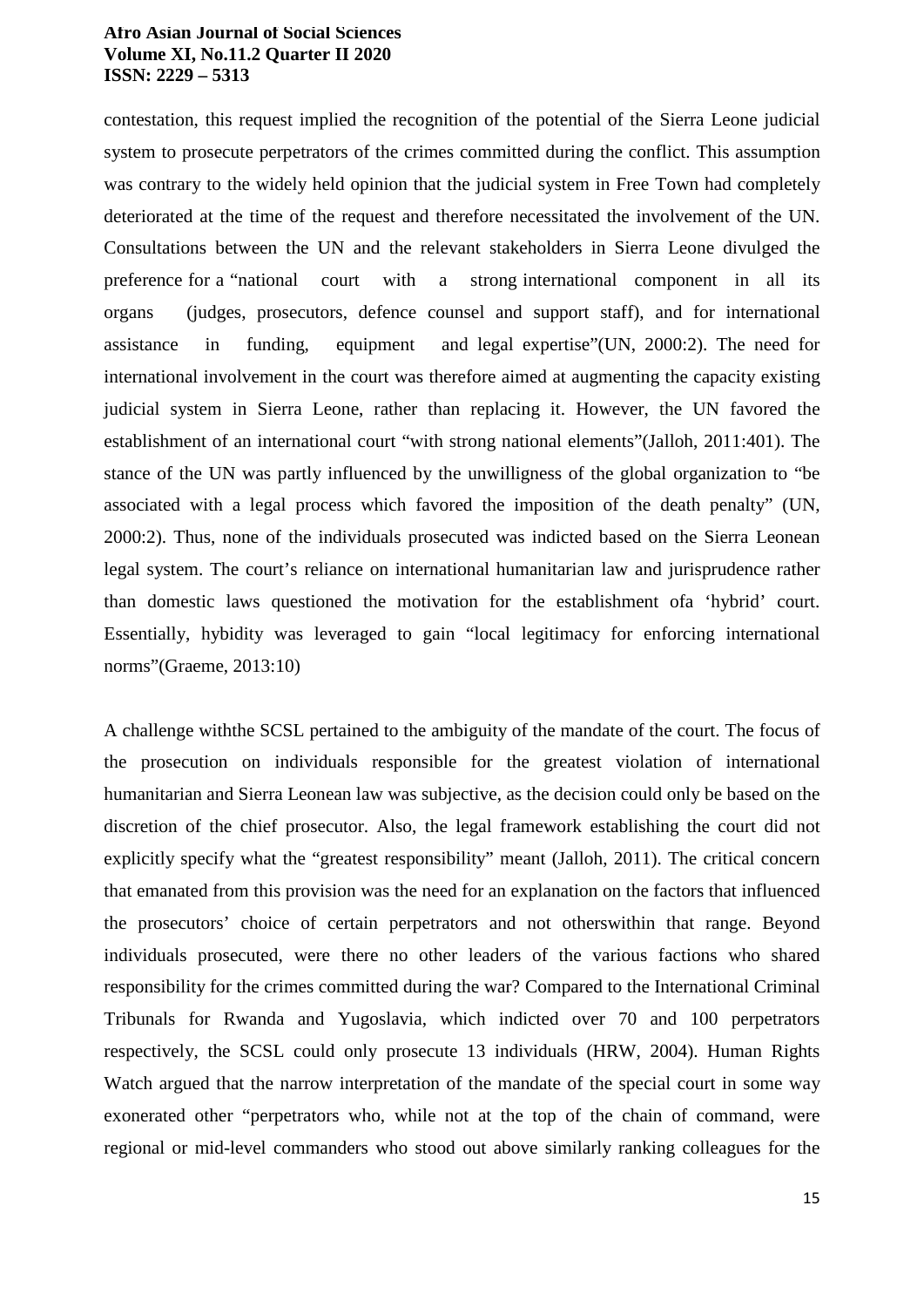contestation, this request implied the recognition of the potential of the Sierra Leone judicial system to prosecute perpetrators of the crimes committed during the conflict. This assumption was contrary to the widely held opinion that the judicial system in Free Town had completely deteriorated at the time of the request and therefore necessitated the involvement of the UN. Consultations between the UN and the relevant stakeholders in Sierra Leone divulged the preference for a "national court with a strong international component in all its organs (judges, prosecutors, defence counsel and support staff), and for international assistance in funding, equipment and legal expertise"(UN, 2000:2). The need for international involvement in the court was therefore aimed at augmenting the capacity existing judicial system in Sierra Leone, rather than replacing it. However, the UN favored the establishment of an international court "with strong national elements"(Jalloh, 2011:401). The stance of the UN was partly influenced by the unwilligness of the global organization to "be associated with a legal process which favored the imposition of the death penalty" (UN, 2000:2). Thus, none of the individuals prosecuted was indicted based on the Sierra Leonean legal system. The court's reliance on international humanitarian law and jurisprudence rather than domestic laws questioned the motivation for the establishment ofa 'hybrid' court. Essentially, hybidity was leveraged to gain "local legitimacy for enforcing international norms"(Graeme, 2013:10)

A challenge withthe SCSL pertained to the ambiguity of the mandate of the court. The focus of the prosecution on individuals responsible for the greatest violation of international humanitarian and Sierra Leonean law was subjective, as the decision could only be based on the discretion of the chief prosecutor. Also, the legal framework establishing the court did not explicitly specify what the "greatest responsibility" meant (Jalloh, 2011). The critical concern that emanated from this provision was the need for an explanation on the factors that influenced the prosecutors' choice of certain perpetrators and not otherswithin that range. Beyond individuals prosecuted, were there no other leaders of the various factions who shared responsibility for the crimes committed during the war? Compared to the International Criminal Tribunals for Rwanda and Yugoslavia, which indicted over 70 and 100 perpetrators respectively, the SCSL could only prosecute 13 individuals (HRW, 2004). Human Rights Watch argued that the narrow interpretation of the mandate of the special court in some way exonerated other "perpetrators who, while not at the top of the chain of command, were regional or mid-level commanders who stood out above similarly ranking colleagues for the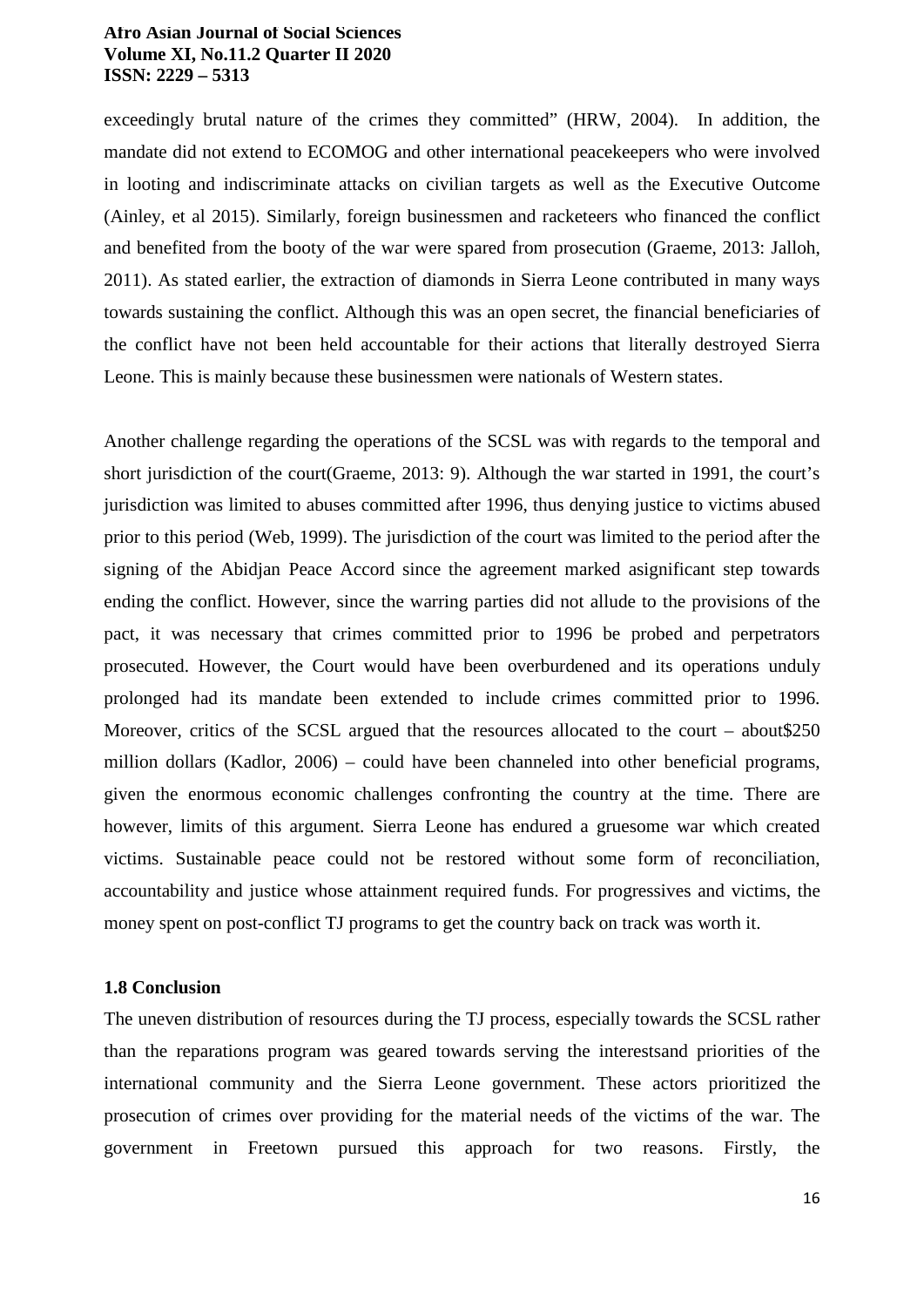exceedingly brutal nature of the crimes they committed" (HRW, 2004). In addition, the mandate did not extend to ECOMOG and other international peacekeepers who were involved in looting and indiscriminate attacks on civilian targets as well as the Executive Outcome (Ainley, et al 2015). Similarly, foreign businessmen and racketeers who financed the conflict and benefited from the booty of the war were spared from prosecution (Graeme, 2013: Jalloh, 2011). As stated earlier, the extraction of diamonds in Sierra Leone contributed in many ways towards sustaining the conflict. Although this was an open secret, the financial beneficiaries of the conflict have not been held accountable for their actions that literally destroyed Sierra Leone. This is mainly because these businessmen were nationals of Western states.

Another challenge regarding the operations of the SCSL was with regards to the temporal and short jurisdiction of the court(Graeme, 2013: 9). Although the war started in 1991, the court's jurisdiction was limited to abuses committed after 1996, thus denying justice to victims abused prior to this period (Web, 1999). The jurisdiction of the court was limited to the period after the signing of the Abidjan Peace Accord since the agreement marked asignificant step towards ending the conflict. However, since the warring parties did not allude to the provisions of the pact, it was necessary that crimes committed prior to 1996 be probed and perpetrators prosecuted. However, the Court would have been overburdened and its operations unduly prolonged had its mandate been extended to include crimes committed prior to 1996. Moreover, critics of the SCSL argued that the resources allocated to the court – about \$250 million dollars (Kadlor, 2006) – could have been channeled into other beneficial programs, given the enormous economic challenges confronting the country at the time. There are however, limits of this argument. Sierra Leone has endured a gruesome war which created victims. Sustainable peace could not be restored without some form of reconciliation, accountability and justice whose attainment required funds. For progressives and victims, the money spent on post-conflict TJ programs to get the country back on track was worth it.

#### **1.8 Conclusion**

The uneven distribution of resources during the TJ process, especially towards the SCSL rather than the reparations program was geared towards serving the interestsand priorities of the international community and the Sierra Leone government. These actors prioritized the prosecution of crimes over providing for the material needs of the victims of the war. The government in Freetown pursued this approach for two reasons. Firstly, the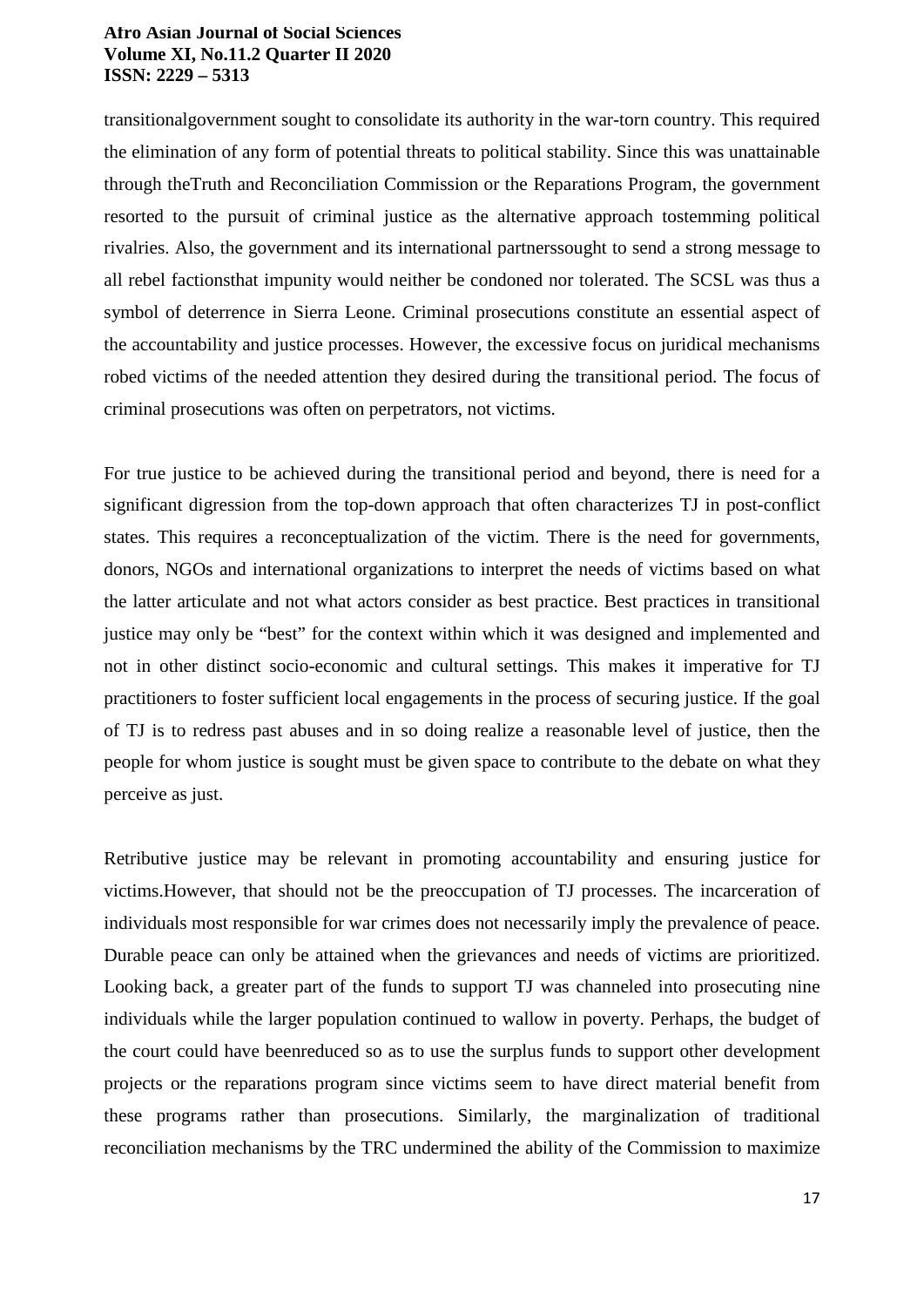transitionalgovernment sought to consolidate its authority in the war-torn country. This required the elimination of any form of potential threats to political stability. Since this was unattainable through theTruth and Reconciliation Commission or the Reparations Program, the government resorted to the pursuit of criminal justice as the alternative approach tostemming political rivalries. Also, the government and its international partnerssought to send a strong message to all rebel factionsthat impunity would neither be condoned nor tolerated. The SCSL was thus a symbol of deterrence in Sierra Leone. Criminal prosecutions constitute an essential aspect of the accountability and justice processes. However, the excessive focus on juridical mechanisms robed victims of the needed attention they desired during the transitional period. The focus of criminal prosecutions was often on perpetrators, not victims.

For true justice to be achieved during the transitional period and beyond, there is need for a significant digression from the top-down approach that often characterizes TJ in post-conflict states. This requires a reconceptualization of the victim. There is the need for governments, donors, NGOs and international organizations to interpret the needs of victims based on what the latter articulate and not what actors consider as best practice. Best practices in transitional justice may only be "best" for the context within which it was designed and implemented and not in other distinct socio-economic and cultural settings. This makes it imperative for TJ practitioners to foster sufficient local engagements in the process of securing justice. If the goal of TJ is to redress past abuses and in so doing realize a reasonable level of justice, then the people for whom justice is sought must be given space to contribute to the debate on what they perceive as just.

Retributive justice may be relevant in promoting accountability and ensuring justice for victims.However, that should not be the preoccupation of TJ processes. The incarceration of individuals most responsible for war crimes does not necessarily imply the prevalence of peace. Durable peace can only be attained when the grievances and needs of victims are prioritized. Looking back, a greater part of the funds to support TJ was channeled into prosecuting nine individuals while the larger population continued to wallow in poverty. Perhaps, the budget of the court could have beenreduced so as to use the surplus funds to support other development projects or the reparations program since victims seem to have direct material benefit from these programs rather than prosecutions. Similarly, the marginalization of traditional reconciliation mechanisms by the TRC undermined the ability of the Commission to maximize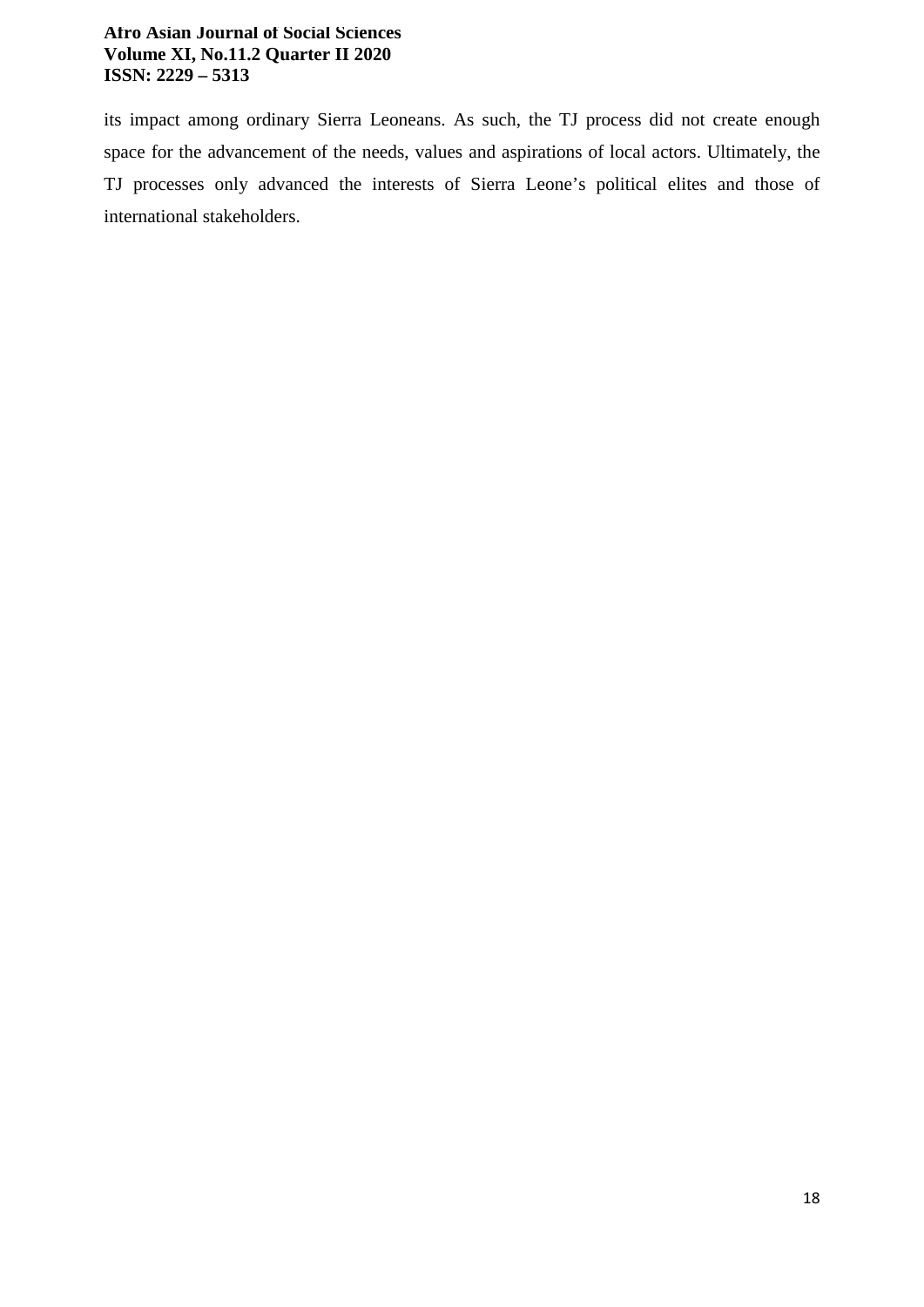its impact among ordinary Sierra Leoneans. As such, the TJ process did not create enough space for the advancement of the needs, values and aspirations of local actors. Ultimately, the TJ processes only advanced the interests of Sierra Leone's political elites and those of international stakeholders.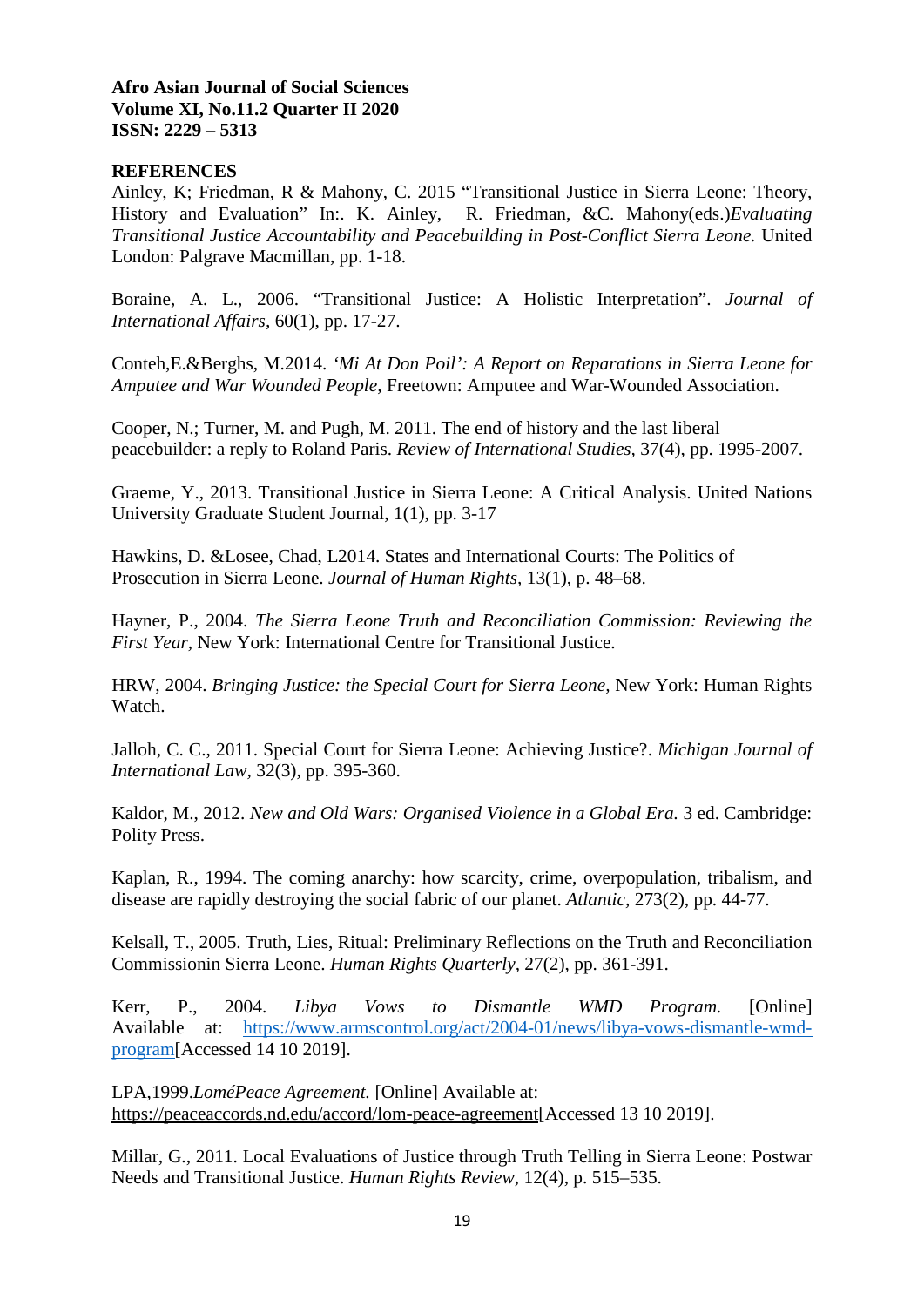# **REFERENCES**

Ainley, K; Friedman, R & Mahony, C. 2015 "Transitional Justice in Sierra Leone: Theory, History and Evaluation" In:. K. Ainley, R. Friedman, &C. Mahony(eds.)*Evaluating Transitional Justice Accountability and Peacebuilding in Post-Conflict Sierra Leone.* United London: Palgrave Macmillan, pp. 1-18.

Boraine, A. L., 2006. "Transitional Justice: A Holistic Interpretation". *Journal of International Affairs,* 60(1), pp. 17-27.

Conteh,E.&Berghs, M.2014. *'Mi At Don Poil': A Report on Reparations in Sierra Leone for Amputee and War Wounded People,* Freetown: Amputee and War-Wounded Association.

Cooper, N.; Turner, M. and Pugh, M. 2011. The end of history and the last liberal peacebuilder: a reply to Roland Paris. *Review of International Studies,* 37(4), pp. 1995-2007.

Graeme, Y., 2013. Transitional Justice in Sierra Leone: A Critical Analysis. United Nations University Graduate Student Journal, 1(1), pp. 3-17

Hawkins, D. &Losee, Chad, L2014. States and International Courts: The Politics of Prosecution in Sierra Leone. *Journal of Human Rights,* 13(1), p. 48–68.

Hayner, P., 2004. *The Sierra Leone Truth and Reconciliation Commission: Reviewing the First Year,* New York: International Centre for Transitional Justice.

HRW, 2004. *Bringing Justice: the Special Court for Sierra Leone,* New York: Human Rights Watch.

Jalloh, C. C., 2011. Special Court for Sierra Leone: Achieving Justice?. *Michigan Journal of International Law,* 32(3), pp. 395-360.

Kaldor, M., 2012. *New and Old Wars: Organised Violence in a Global Era.* 3 ed. Cambridge: Polity Press.

Kaplan, R., 1994. The coming anarchy: how scarcity, crime, overpopulation, tribalism, and disease are rapidly destroying the social fabric of our planet. *Atlantic,* 273(2), pp. 44-77.

Kelsall, T., 2005. Truth, Lies, Ritual: Preliminary Reflections on the Truth and Reconciliation Commissionin Sierra Leone. *Human Rights Quarterly,* 27(2), pp. 361-391.

Kerr, P., 2004. *Libya Vows to Dismantle WMD Program.* [Online] Available at: https://www.armscontrol.org/act/2004-01/news/libya-vows-dismantle-wmdprogram[Accessed 14 10 2019].

LPA,1999.*LoméPeace Agreement.* [Online] Available at: https://peaceaccords.nd.edu/accord/lom-peace-agreement[Accessed 13 10 2019].

Millar, G., 2011. Local Evaluations of Justice through Truth Telling in Sierra Leone: Postwar Needs and Transitional Justice. *Human Rights Review,* 12(4), p. 515–535.